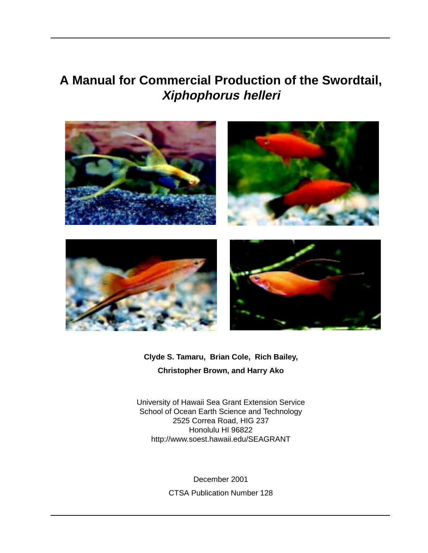# **A Manual for Commercial Production of the Swordtail, Xiphophorus helleri**



**Clyde S. Tamaru, Brian Cole, Rich Bailey, Christopher Brown, and Harry Ako**

University of Hawaii Sea Grant Extension Service School of Ocean Earth Science and Technology 2525 Correa Road, HIG 237 Honolulu HI 96822 http://www.soest.hawaii.edu/SEAGRANT

> December 2001 CTSA Publication Number 128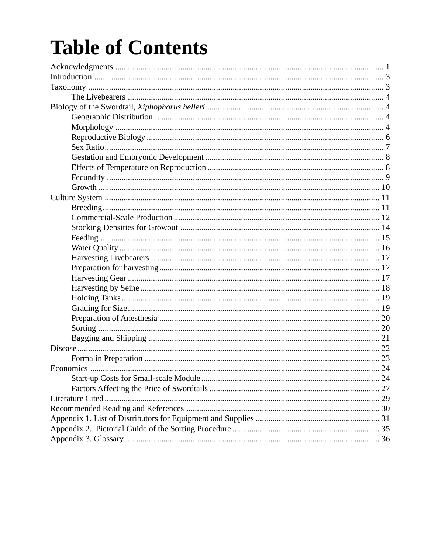# **Table of Contents**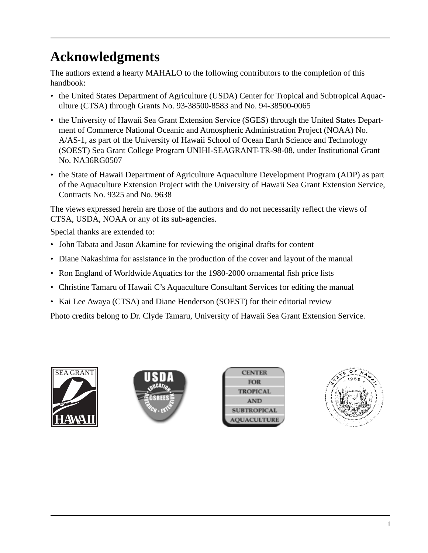# **Acknowledgments**

The authors extend a hearty MAHALO to the following contributors to the completion of this handbook:

- the United States Department of Agriculture (USDA) Center for Tropical and Subtropical Aquaculture (CTSA) through Grants No. 93-38500-8583 and No. 94-38500-0065
- the University of Hawaii Sea Grant Extension Service (SGES) through the United States Department of Commerce National Oceanic and Atmospheric Administration Project (NOAA) No. A/AS-1, as part of the University of Hawaii School of Ocean Earth Science and Technology (SOEST) Sea Grant College Program UNIHI-SEAGRANT-TR-98-08, under Institutional Grant No. NA36RG0507
- the State of Hawaii Department of Agriculture Aquaculture Development Program (ADP) as part of the Aquaculture Extension Project with the University of Hawaii Sea Grant Extension Service, Contracts No. 9325 and No. 9638

The views expressed herein are those of the authors and do not necessarily reflect the views of CTSA, USDA, NOAA or any of its sub-agencies.

Special thanks are extended to:

- John Tabata and Jason Akamine for reviewing the original drafts for content
- Diane Nakashima for assistance in the production of the cover and layout of the manual
- Ron England of Worldwide Aquatics for the 1980-2000 ornamental fish price lists
- Christine Tamaru of Hawaii C's Aquaculture Consultant Services for editing the manual
- Kai Lee Awaya (CTSA) and Diane Henderson (SOEST) for their editorial review

Photo credits belong to Dr. Clyde Tamaru, University of Hawaii Sea Grant Extension Service.





| <b>CENTER</b>             |
|---------------------------|
| <b>FOR</b>                |
| <b>TROPICAL</b>           |
| <b>AND</b>                |
| <b>SUBTROPICAL</b>        |
| <b><i>AQUACULTURE</i></b> |
|                           |

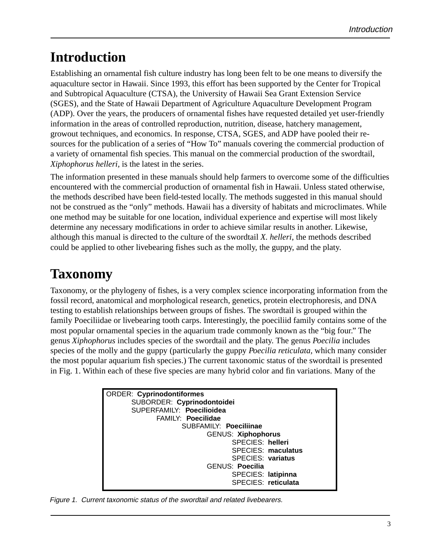# **Introduction**

Establishing an ornamental fish culture industry has long been felt to be one means to diversify the aquaculture sector in Hawaii. Since 1993, this effort has been supported by the Center for Tropical and Subtropical Aquaculture (CTSA), the University of Hawaii Sea Grant Extension Service (SGES), and the State of Hawaii Department of Agriculture Aquaculture Development Program (ADP). Over the years, the producers of ornamental fishes have requested detailed yet user-friendly information in the areas of controlled reproduction, nutrition, disease, hatchery management, growout techniques, and economics. In response, CTSA, SGES, and ADP have pooled their resources for the publication of a series of "How To" manuals covering the commercial production of a variety of ornamental fish species. This manual on the commercial production of the swordtail, *Xiphophorus helleri,* is the latest in the series.

The information presented in these manuals should help farmers to overcome some of the difficulties encountered with the commercial production of ornamental fish in Hawaii. Unless stated otherwise, the methods described have been field-tested locally. The methods suggested in this manual should not be construed as the "only" methods. Hawaii has a diversity of habitats and microclimates. While one method may be suitable for one location, individual experience and expertise will most likely determine any necessary modifications in order to achieve similar results in another. Likewise, although this manual is directed to the culture of the swordtail *X. helleri*, the methods described could be applied to other livebearing fishes such as the molly, the guppy, and the platy.

# **Taxonomy**

Taxonomy, or the phylogeny of fishes, is a very complex science incorporating information from the fossil record, anatomical and morphological research, genetics, protein electrophoresis, and DNA testing to establish relationships between groups of fishes. The swordtail is grouped within the family Poeciliidae or livebearing tooth carps. Interestingly, the poeciliid family contains some of the most popular ornamental species in the aquarium trade commonly known as the "big four." The genus *Xiphophorus* includes species of the swordtail and the platy. The genus *Poecilia* includes species of the molly and the guppy (particularly the guppy *Poecilia reticulata,* which many consider the most popular aquarium fish species.) The current taxonomic status of the swordtail is presented in Fig. 1. Within each of these five species are many hybrid color and fin variations. Many of the



Figure 1. Current taxonomic status of the swordtail and related livebearers.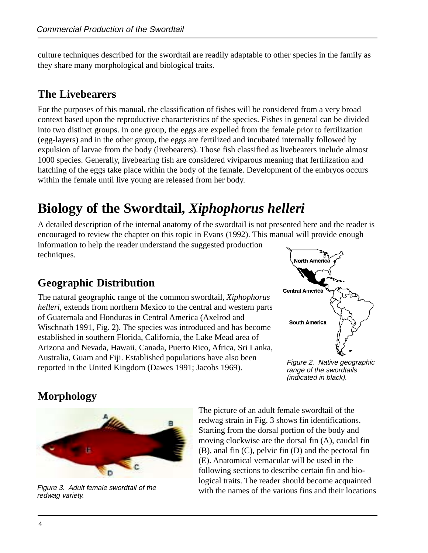culture techniques described for the swordtail are readily adaptable to other species in the family as they share many morphological and biological traits.

### **The Livebearers**

For the purposes of this manual, the classification of fishes will be considered from a very broad context based upon the reproductive characteristics of the species. Fishes in general can be divided into two distinct groups. In one group, the eggs are expelled from the female prior to fertilization (egg-layers) and in the other group, the eggs are fertilized and incubated internally followed by expulsion of larvae from the body (livebearers). Those fish classified as livebearers include almost 1000 species. Generally, livebearing fish are considered viviparous meaning that fertilization and hatching of the eggs take place within the body of the female. Development of the embryos occurs within the female until live young are released from her body.

# **Biology of the Swordtail,** *Xiphophorus helleri*

A detailed description of the internal anatomy of the swordtail is not presented here and the reader is encouraged to review the chapter on this topic in Evans (1992). This manual will provide enough

information to help the reader understand the suggested production techniques.

### **Geographic Distribution**

The natural geographic range of the common swordtail, *Xiphophorus helleri,* extends from northern Mexico to the central and western parts of Guatemala and Honduras in Central America (Axelrod and Wischnath 1991, Fig. 2). The species was introduced and has become established in southern Florida, California, the Lake Mead area of Arizona and Nevada, Hawaii, Canada, Puerto Rico, Africa, Sri Lanka, Australia, Guam and Fiji. Established populations have also been reported in the United Kingdom (Dawes 1991; Jacobs 1969).



Figure 2. Native geographic range of the swordtails (indicated in black).

### **Morphology**



redwag variety.

The picture of an adult female swordtail of the redwag strain in Fig. 3 shows fin identifications. Starting from the dorsal portion of the body and moving clockwise are the dorsal fin (A), caudal fin (B), anal fin (C), pelvic fin (D) and the pectoral fin (E). Anatomical vernacular will be used in the following sections to describe certain fin and biological traits. The reader should become acquainted Figure 3. Adult female swordtail of the various of the various fins and their locations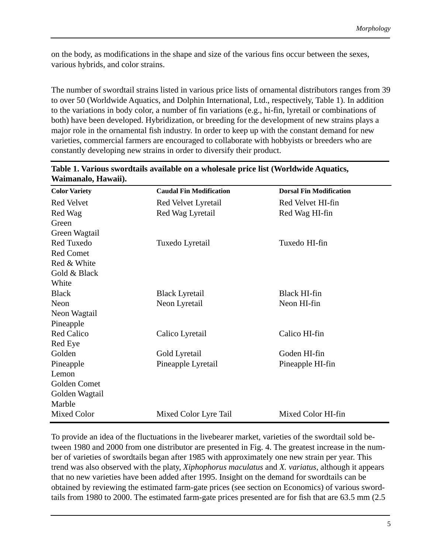on the body, as modifications in the shape and size of the various fins occur between the sexes, various hybrids, and color strains.

The number of swordtail strains listed in various price lists of ornamental distributors ranges from 39 to over 50 (Worldwide Aquatics, and Dolphin International, Ltd., respectively, Table 1). In addition to the variations in body color, a number of fin variations (e.g., hi-fin, lyretail or combinations of both) have been developed. Hybridization, or breeding for the development of new strains plays a major role in the ornamental fish industry. In order to keep up with the constant demand for new varieties, commercial farmers are encouraged to collaborate with hobbyists or breeders who are constantly developing new strains in order to diversify their product.

| <b>Color Variety</b> | <b>Caudal Fin Modification</b> | <b>Dorsal Fin Modification</b> |
|----------------------|--------------------------------|--------------------------------|
| Red Velvet           | Red Velvet Lyretail            | Red Velvet HI-fin              |
| Red Wag              | Red Wag Lyretail               | Red Wag HI-fin                 |
| Green                |                                |                                |
| Green Wagtail        |                                |                                |
| Red Tuxedo           | Tuxedo Lyretail                | Tuxedo HI-fin                  |
| <b>Red Comet</b>     |                                |                                |
| Red & White          |                                |                                |
| Gold & Black         |                                |                                |
| White                |                                |                                |
| <b>Black</b>         | <b>Black Lyretail</b>          | Black HI-fin                   |
| Neon                 | Neon Lyretail                  | Neon HI-fin                    |
| Neon Wagtail         |                                |                                |
| Pineapple            |                                |                                |
| <b>Red Calico</b>    | Calico Lyretail                | Calico HI-fin                  |
| Red Eye              |                                |                                |
| Golden               | Gold Lyretail                  | Goden HI-fin                   |
| Pineapple            | Pineapple Lyretail             | Pineapple HI-fin               |
| Lemon                |                                |                                |
| Golden Comet         |                                |                                |
| Golden Wagtail       |                                |                                |
| Marble               |                                |                                |
| Mixed Color          | Mixed Color Lyre Tail          | Mixed Color HI-fin             |

#### **Table 1. Various swordtails available on a wholesale price list (Worldwide Aquatics, Waimanalo, Hawaii).**

To provide an idea of the fluctuations in the livebearer market, varieties of the swordtail sold between 1980 and 2000 from one distributor are presented in Fig. 4. The greatest increase in the number of varieties of swordtails began after 1985 with approximately one new strain per year. This trend was also observed with the platy, *Xiphophorus maculatus* and *X. variatus*, although it appears that no new varieties have been added after 1995. Insight on the demand for swordtails can be obtained by reviewing the estimated farm-gate prices (see section on Economics) of various swordtails from 1980 to 2000. The estimated farm-gate prices presented are for fish that are 63.5 mm (2.5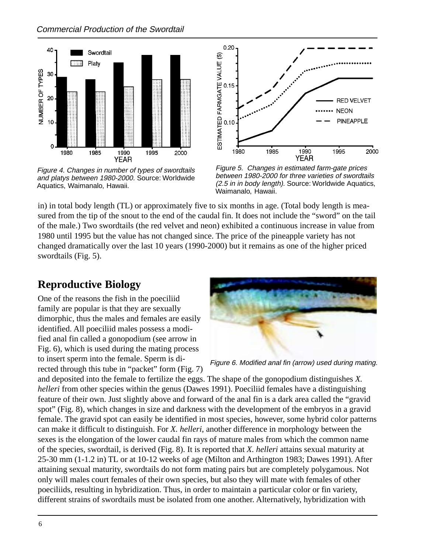

Figure 4. Changes in number of types of swordtails and platys between 1980-2000. Source: Worldwide Aquatics, Waimanalo, Hawaii.



Figure 5. Changes in estimated farm-gate prices between 1980-2000 for three varieties of swordtails (2.5 in in body length). Source: Worldwide Aquatics, Waimanalo, Hawaii.

in) in total body length (TL) or approximately five to six months in age. (Total body length is measured from the tip of the snout to the end of the caudal fin. It does not include the "sword" on the tail of the male.) Two swordtails (the red velvet and neon) exhibited a continuous increase in value from 1980 until 1995 but the value has not changed since. The price of the pineapple variety has not changed dramatically over the last 10 years (1990-2000) but it remains as one of the higher priced swordtails (Fig. 5).

### **Reproductive Biology**

One of the reasons the fish in the poeciliid family are popular is that they are sexually dimorphic, thus the males and females are easily identified. All poeciliid males possess a modified anal fin called a gonopodium (see arrow in Fig. 6), which is used during the mating process to insert sperm into the female. Sperm is directed through this tube in "packet" form (Fig. 7)



Figure 6. Modified anal fin (arrow) used during mating.

and deposited into the female to fertilize the eggs. The shape of the gonopodium distinguishes *X. helleri* from other species within the genus (Dawes 1991). Poeciliid females have a distinguishing feature of their own. Just slightly above and forward of the anal fin is a dark area called the "gravid spot" (Fig. 8), which changes in size and darkness with the development of the embryos in a gravid female. The gravid spot can easily be identified in most species, however, some hybrid color patterns can make it difficult to distinguish. For *X. helleri*, another difference in morphology between the sexes is the elongation of the lower caudal fin rays of mature males from which the common name of the species, swordtail, is derived (Fig. 8). It is reported that *X. helleri* attains sexual maturity at 25-30 mm (1-1.2 in) TL or at 10-12 weeks of age (Milton and Arthington 1983; Dawes 1991). After attaining sexual maturity, swordtails do not form mating pairs but are completely polygamous. Not only will males court females of their own species, but also they will mate with females of other poeciliids, resulting in hybridization. Thus, in order to maintain a particular color or fin variety, different strains of swordtails must be isolated from one another. Alternatively, hybridization with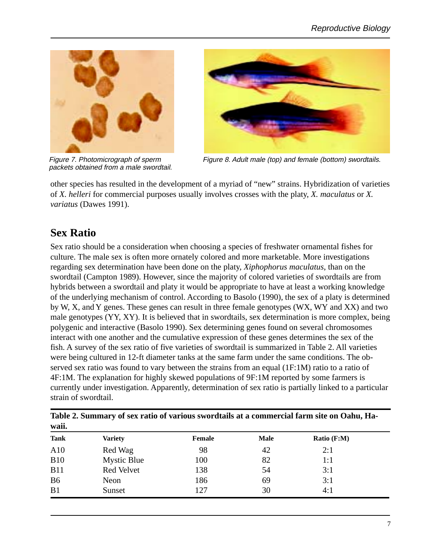

packets obtained from a male swordtail.



Figure 7. Photomicrograph of sperm Figure 8. Adult male (top) and female (bottom) swordtails.

other species has resulted in the development of a myriad of "new" strains. Hybridization of varieties of *X. helleri* for commercial purposes usually involves crosses with the platy, *X. maculatus* or *X. variatus* (Dawes 1991).

### **Sex Ratio**

Sex ratio should be a consideration when choosing a species of freshwater ornamental fishes for culture. The male sex is often more ornately colored and more marketable. More investigations regarding sex determination have been done on the platy, *Xiphophorus maculatus*, than on the swordtail (Campton 1989). However, since the majority of colored varieties of swordtails are from hybrids between a swordtail and platy it would be appropriate to have at least a working knowledge of the underlying mechanism of control. According to Basolo (1990), the sex of a platy is determined by W, X, and Y genes. These genes can result in three female genotypes (WX, WY and XX) and two male genotypes (YY, XY). It is believed that in swordtails, sex determination is more complex, being polygenic and interactive (Basolo 1990). Sex determining genes found on several chromosomes interact with one another and the cumulative expression of these genes determines the sex of the fish. A survey of the sex ratio of five varieties of swordtail is summarized in Table 2. All varieties were being cultured in 12-ft diameter tanks at the same farm under the same conditions. The observed sex ratio was found to vary between the strains from an equal (1F:1M) ratio to a ratio of 4F:1M. The explanation for highly skewed populations of 9F:1M reported by some farmers is currently under investigation. Apparently, determination of sex ratio is partially linked to a particular strain of swordtail.

| waii.          |                    |        |      |             |  |
|----------------|--------------------|--------|------|-------------|--|
| <b>Tank</b>    | <b>Variety</b>     | Female | Male | Ratio (F:M) |  |
| A10            | Red Wag            | 98     | 42   | 2:1         |  |
| <b>B10</b>     | <b>Mystic Blue</b> | 100    | 82   | 1:1         |  |
| <b>B11</b>     | Red Velvet         | 138    | 54   | 3:1         |  |
| B <sub>6</sub> | Neon               | 186    | 69   | 3:1         |  |
| B1             | Sunset             | 127    | 30   | 4:1         |  |

**Table 2. Summary of sex ratio of various swordtails at a commercial farm site on Oahu, Ha-**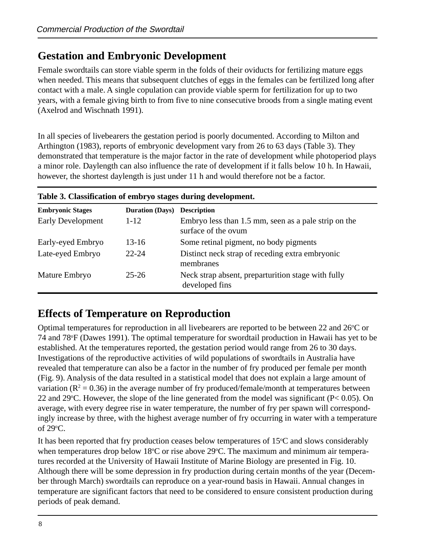### **Gestation and Embryonic Development**

Female swordtails can store viable sperm in the folds of their oviducts for fertilizing mature eggs when needed. This means that subsequent clutches of eggs in the females can be fertilized long after contact with a male. A single copulation can provide viable sperm for fertilization for up to two years, with a female giving birth to from five to nine consecutive broods from a single mating event (Axelrod and Wischnath 1991).

In all species of livebearers the gestation period is poorly documented. According to Milton and Arthington (1983), reports of embryonic development vary from 26 to 63 days (Table 3). They demonstrated that temperature is the major factor in the rate of development while photoperiod plays a minor role. Daylength can also influence the rate of development if it falls below 10 h. In Hawaii, however, the shortest daylength is just under 11 h and would therefore not be a factor.

| <b>Embryonic Stages</b>  | <b>Duration (Days)</b> | <b>Description</b>                                                          |  |
|--------------------------|------------------------|-----------------------------------------------------------------------------|--|
| <b>Early Development</b> | $1 - 12$               | Embryo less than 1.5 mm, seen as a pale strip on the<br>surface of the ovum |  |
| Early-eyed Embryo        | $13 - 16$              | Some retinal pigment, no body pigments                                      |  |
| Late-eyed Embryo         | $22 - 24$              | Distinct neck strap of receding extra embryonic<br>membranes                |  |
| Mature Embryo            | $25 - 26$              | Neck strap absent, preparturition stage with fully<br>developed fins        |  |

#### **Table 3. Classification of embryo stages during development.**

### **Effects of Temperature on Reproduction**

Optimal temperatures for reproduction in all livebearers are reported to be between 22 and  $26^{\circ}$ C or 74 and 78°F (Dawes 1991). The optimal temperature for swordtail production in Hawaii has yet to be established. At the temperatures reported, the gestation period would range from 26 to 30 days. Investigations of the reproductive activities of wild populations of swordtails in Australia have revealed that temperature can also be a factor in the number of fry produced per female per month (Fig. 9). Analysis of the data resulted in a statistical model that does not explain a large amount of variation ( $\mathbb{R}^2 = 0.36$ ) in the average number of fry produced/female/month at temperatures between 22 and 29 °C. However, the slope of the line generated from the model was significant ( $P < 0.05$ ). On average, with every degree rise in water temperature, the number of fry per spawn will correspondingly increase by three, with the highest average number of fry occurring in water with a temperature of 29o C.

It has been reported that fry production ceases below temperatures of  $15^{\circ}$ C and slows considerably when temperatures drop below 18°C or rise above 29°C. The maximum and minimum air temperatures recorded at the University of Hawaii Institute of Marine Biology are presented in Fig. 10. Although there will be some depression in fry production during certain months of the year (December through March) swordtails can reproduce on a year-round basis in Hawaii. Annual changes in temperature are significant factors that need to be considered to ensure consistent production during periods of peak demand.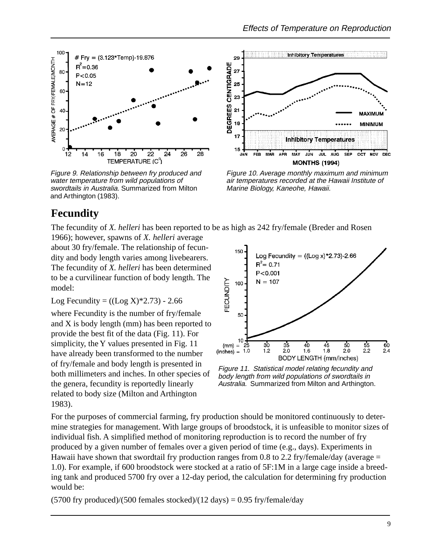

Figure 9. Relationship between fry produced and water temperature from wild populations of swordtails in Australia. Summarized from Milton and Arthington (1983).



Figure 10. Average monthly maximum and minimum air temperatures recorded at the Hawaii Institute of Marine Biology, Kaneohe, Hawaii.

### **Fecundity**

The fecundity of *X. helleri* has been reported to be as high as 242 fry/female (Breder and Rosen

1966); however, spawns of *X. helleri* average about 30 fry/female. The relationship of fecundity and body length varies among livebearers. The fecundity of *X. helleri* has been determined to be a curvilinear function of body length. The model:

Log Fecundity =  $((Log X)*2.73) - 2.66$ 

where Fecundity is the number of fry/female and X is body length (mm) has been reported to provide the best fit of the data (Fig. 11). For simplicity, the Y values presented in Fig. 11 have already been transformed to the number of fry/female and body length is presented in both millimeters and inches. In other species of the genera, fecundity is reportedly linearly related to body size (Milton and Arthington 1983).



Figure 11. Statistical model relating fecundity and body length from wild populations of swordtails in Australia. Summarized from Milton and Arthington.

For the purposes of commercial farming, fry production should be monitored continuously to determine strategies for management. With large groups of broodstock, it is unfeasible to monitor sizes of individual fish. A simplified method of monitoring reproduction is to record the number of fry produced by a given number of females over a given period of time (e.g., days). Experiments in Hawaii have shown that swordtail fry production ranges from 0.8 to 2.2 fry/female/day (average  $=$ 1.0). For example, if 600 broodstock were stocked at a ratio of 5F:1M in a large cage inside a breeding tank and produced 5700 fry over a 12-day period, the calculation for determining fry production would be:

 $(5700$  fry produced)/(500 females stocked)/(12 days) = 0.95 fry/female/day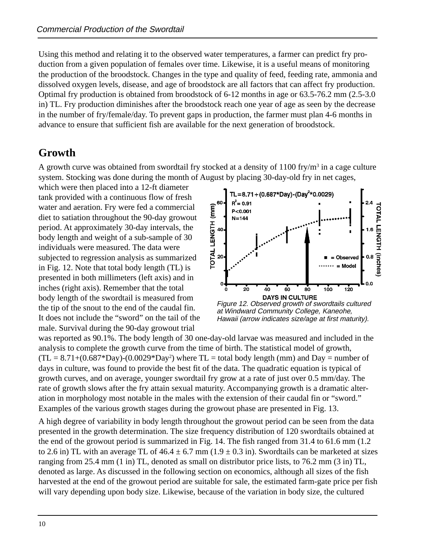Using this method and relating it to the observed water temperatures, a farmer can predict fry production from a given population of females over time. Likewise, it is a useful means of monitoring the production of the broodstock. Changes in the type and quality of feed, feeding rate, ammonia and dissolved oxygen levels, disease, and age of broodstock are all factors that can affect fry production. Optimal fry production is obtained from broodstock of 6-12 months in age or 63.5-76.2 mm (2.5-3.0 in) TL. Fry production diminishes after the broodstock reach one year of age as seen by the decrease in the number of fry/female/day. To prevent gaps in production, the farmer must plan 4-6 months in advance to ensure that sufficient fish are available for the next generation of broodstock.

### **Growth**

A growth curve was obtained from swordtail fry stocked at a density of  $1100$  fry/m<sup>3</sup> in a cage culture system. Stocking was done during the month of August by placing 30-day-old fry in net cages,

which were then placed into a 12-ft diameter tank provided with a continuous flow of fresh water and aeration. Fry were fed a commercial diet to satiation throughout the 90-day growout period. At approximately 30-day intervals, the body length and weight of a sub-sample of 30 individuals were measured. The data were subjected to regression analysis as summarized in Fig. 12. Note that total body length (TL) is presented in both millimeters (left axis) and in inches (right axis). Remember that the total body length of the swordtail is measured from the tip of the snout to the end of the caudal fin. It does not include the "sword" on the tail of the male. Survival during the 90-day growout trial



at Windward Community College, Kaneohe, Hawaii (arrow indicates size/age at first maturity).

was reported as 90.1%. The body length of 30 one-day-old larvae was measured and included in the analysis to complete the growth curve from the time of birth. The statistical model of growth,  $(TL = 8.71+(0.687*Day)-(0.0029*Day^2)$  where  $TL =$  total body length (mm) and Day = number of days in culture, was found to provide the best fit of the data. The quadratic equation is typical of growth curves, and on average, younger swordtail fry grow at a rate of just over 0.5 mm/day. The rate of growth slows after the fry attain sexual maturity. Accompanying growth is a dramatic alteration in morphology most notable in the males with the extension of their caudal fin or "sword." Examples of the various growth stages during the growout phase are presented in Fig. 13.

A high degree of variability in body length throughout the growout period can be seen from the data presented in the growth determination. The size frequency distribution of 120 swordtails obtained at the end of the growout period is summarized in Fig. 14. The fish ranged from 31.4 to 61.6 mm (1.2 to 2.6 in) TL with an average TL of  $46.4 \pm 6.7$  mm ( $1.9 \pm 0.3$  in). Swordtails can be marketed at sizes ranging from 25.4 mm (1 in) TL, denoted as small on distributor price lists, to 76.2 mm (3 in) TL, denoted as large. As discussed in the following section on economics, although all sizes of the fish harvested at the end of the growout period are suitable for sale, the estimated farm-gate price per fish will vary depending upon body size. Likewise, because of the variation in body size, the cultured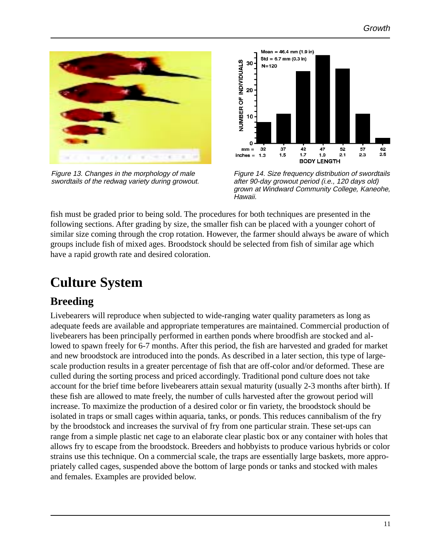

Figure 13. Changes in the morphology of male swordtails of the redwag variety during growout.



Figure 14. Size frequency distribution of swordtails after 90-day growout period (i.e., 120 days old) grown at Windward Community College, Kaneohe, Hawaii.

fish must be graded prior to being sold. The procedures for both techniques are presented in the following sections. After grading by size, the smaller fish can be placed with a younger cohort of similar size coming through the crop rotation. However, the farmer should always be aware of which groups include fish of mixed ages. Broodstock should be selected from fish of similar age which have a rapid growth rate and desired coloration.

# **Culture System**

### **Breeding**

Livebearers will reproduce when subjected to wide-ranging water quality parameters as long as adequate feeds are available and appropriate temperatures are maintained. Commercial production of livebearers has been principally performed in earthen ponds where broodfish are stocked and allowed to spawn freely for 6-7 months. After this period, the fish are harvested and graded for market and new broodstock are introduced into the ponds. As described in a later section, this type of largescale production results in a greater percentage of fish that are off-color and/or deformed. These are culled during the sorting process and priced accordingly. Traditional pond culture does not take account for the brief time before livebearers attain sexual maturity (usually 2-3 months after birth). If these fish are allowed to mate freely, the number of culls harvested after the growout period will increase. To maximize the production of a desired color or fin variety, the broodstock should be isolated in traps or small cages within aquaria, tanks, or ponds. This reduces cannibalism of the fry by the broodstock and increases the survival of fry from one particular strain. These set-ups can range from a simple plastic net cage to an elaborate clear plastic box or any container with holes that allows fry to escape from the broodstock. Breeders and hobbyists to produce various hybrids or color strains use this technique. On a commercial scale, the traps are essentially large baskets, more appropriately called cages, suspended above the bottom of large ponds or tanks and stocked with males and females. Examples are provided below.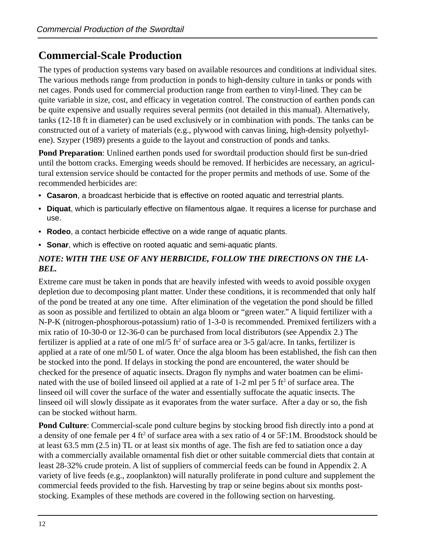### **Commercial-Scale Production**

The types of production systems vary based on available resources and conditions at individual sites. The various methods range from production in ponds to high-density culture in tanks or ponds with net cages. Ponds used for commercial production range from earthen to vinyl-lined. They can be quite variable in size, cost, and efficacy in vegetation control. The construction of earthen ponds can be quite expensive and usually requires several permits (not detailed in this manual). Alternatively, tanks (12-18 ft in diameter) can be used exclusively or in combination with ponds. The tanks can be constructed out of a variety of materials (e.g., plywood with canvas lining, high-density polyethylene). Szyper (1989) presents a guide to the layout and construction of ponds and tanks.

**Pond Preparation**: Unlined earthen ponds used for swordtail production should first be sun-dried until the bottom cracks. Emerging weeds should be removed. If herbicides are necessary, an agricultural extension service should be contacted for the proper permits and methods of use. Some of the recommended herbicides are:

- **Casaron**, a broadcast herbicide that is effective on rooted aquatic and terrestrial plants.
- **Diquat**, which is particularly effective on filamentous algae. It requires a license for purchase and use.
- **Rodeo**, a contact herbicide effective on a wide range of aquatic plants.
- **Sonar**, which is effective on rooted aquatic and semi-aquatic plants.

#### *NOTE: WITH THE USE OF ANY HERBICIDE, FOLLOW THE DIRECTIONS ON THE LA-BEL.*

Extreme care must be taken in ponds that are heavily infested with weeds to avoid possible oxygen depletion due to decomposing plant matter. Under these conditions, it is recommended that only half of the pond be treated at any one time. After elimination of the vegetation the pond should be filled as soon as possible and fertilized to obtain an alga bloom or "green water." A liquid fertilizer with a N-P-K (nitrogen-phosphorous-potassium) ratio of 1-3-0 is recommended. Premixed fertilizers with a mix ratio of 10-30-0 or 12-36-0 can be purchased from local distributors (see Appendix 2.) The fertilizer is applied at a rate of one ml/5 ft<sup>2</sup> of surface area or 3-5 gal/acre. In tanks, fertilizer is applied at a rate of one ml/50 L of water. Once the alga bloom has been established, the fish can then be stocked into the pond. If delays in stocking the pond are encountered, the water should be checked for the presence of aquatic insects. Dragon fly nymphs and water boatmen can be eliminated with the use of boiled linseed oil applied at a rate of  $1-2$  ml per 5 ft<sup>2</sup> of surface area. The linseed oil will cover the surface of the water and essentially suffocate the aquatic insects. The linseed oil will slowly dissipate as it evaporates from the water surface. After a day or so, the fish can be stocked without harm.

**Pond Culture**: Commercial-scale pond culture begins by stocking brood fish directly into a pond at a density of one female per 4 ft<sup>2</sup> of surface area with a sex ratio of 4 or 5F:1M. Broodstock should be at least 63.5 mm (2.5 in) TL or at least six months of age. The fish are fed to satiation once a day with a commercially available ornamental fish diet or other suitable commercial diets that contain at least 28-32% crude protein. A list of suppliers of commercial feeds can be found in Appendix 2. A variety of live feeds (e.g., zooplankton) will naturally proliferate in pond culture and supplement the commercial feeds provided to the fish. Harvesting by trap or seine begins about six months poststocking. Examples of these methods are covered in the following section on harvesting.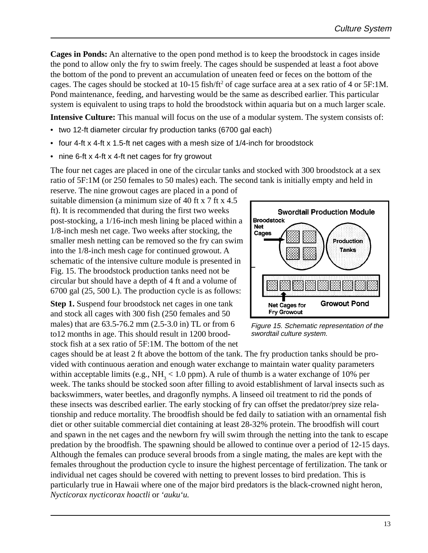**Cages in Ponds:** An alternative to the open pond method is to keep the broodstock in cages inside the pond to allow only the fry to swim freely. The cages should be suspended at least a foot above the bottom of the pond to prevent an accumulation of uneaten feed or feces on the bottom of the cages. The cages should be stocked at 10-15 fish/ft<sup>2</sup> of cage surface area at a sex ratio of 4 or 5F:1M. Pond maintenance, feeding, and harvesting would be the same as described earlier. This particular system is equivalent to using traps to hold the broodstock within aquaria but on a much larger scale.

**Intensive Culture:** This manual will focus on the use of a modular system. The system consists of:

- two 12-ft diameter circular fry production tanks (6700 gal each)
- four 4-ft x 4-ft x 1.5-ft net cages with a mesh size of 1/4-inch for broodstock
- nine 6-ft x 4-ft x 4-ft net cages for fry growout

The four net cages are placed in one of the circular tanks and stocked with 300 broodstock at a sex ratio of 5F:1M (or 250 females to 50 males) each. The second tank is initially empty and held in

reserve. The nine growout cages are placed in a pond of suitable dimension (a minimum size of 40 ft x 7 ft x 4.5 ft). It is recommended that during the first two weeks post-stocking, a 1/16-inch mesh lining be placed within a 1/8-inch mesh net cage. Two weeks after stocking, the smaller mesh netting can be removed so the fry can swim into the 1/8-inch mesh cage for continued growout. A schematic of the intensive culture module is presented in Fig. 15. The broodstock production tanks need not be circular but should have a depth of 4 ft and a volume of 6700 gal (25, 500 L). The production cycle is as follows:

**Step 1.** Suspend four broodstock net cages in one tank and stock all cages with 300 fish (250 females and 50 males) that are 63.5-76.2 mm (2.5-3.0 in) TL or from 6 to12 months in age. This should result in 1200 broodstock fish at a sex ratio of 5F:1M. The bottom of the net



Figure 15. Schematic representation of the swordtail culture system.

cages should be at least 2 ft above the bottom of the tank. The fry production tanks should be provided with continuous aeration and enough water exchange to maintain water quality parameters within acceptable limits (e.g.,  $NH<sub>3</sub> < 1.0$  ppm). A rule of thumb is a water exchange of 10% per week. The tanks should be stocked soon after filling to avoid establishment of larval insects such as backswimmers, water beetles, and dragonfly nymphs. A linseed oil treatment to rid the ponds of these insects was described earlier. The early stocking of fry can offset the predator/prey size relationship and reduce mortality. The broodfish should be fed daily to satiation with an ornamental fish diet or other suitable commercial diet containing at least 28-32% protein. The broodfish will court and spawn in the net cages and the newborn fry will swim through the netting into the tank to escape predation by the broodfish. The spawning should be allowed to continue over a period of 12-15 days. Although the females can produce several broods from a single mating, the males are kept with the females throughout the production cycle to insure the highest percentage of fertilization. The tank or individual net cages should be covered with netting to prevent losses to bird predation. This is particularly true in Hawaii where one of the major bird predators is the black-crowned night heron, *Nycticorax nycticorax hoactli* or *'auku'u.*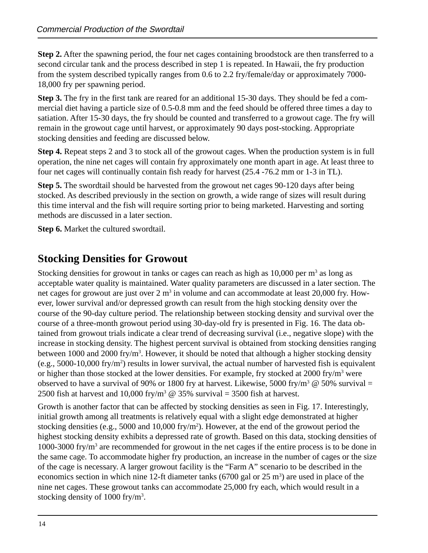**Step 2.** After the spawning period, the four net cages containing broodstock are then transferred to a second circular tank and the process described in step 1 is repeated. In Hawaii, the fry production from the system described typically ranges from 0.6 to 2.2 fry/female/day or approximately 7000- 18,000 fry per spawning period.

**Step 3.** The fry in the first tank are reared for an additional 15-30 days. They should be fed a commercial diet having a particle size of 0.5-0.8 mm and the feed should be offered three times a day to satiation. After 15-30 days, the fry should be counted and transferred to a growout cage. The fry will remain in the growout cage until harvest, or approximately 90 days post-stocking. Appropriate stocking densities and feeding are discussed below.

**Step 4.** Repeat steps 2 and 3 to stock all of the growout cages. When the production system is in full operation, the nine net cages will contain fry approximately one month apart in age. At least three to four net cages will continually contain fish ready for harvest (25.4 -76.2 mm or 1-3 in TL).

**Step 5.** The swordtail should be harvested from the growout net cages 90-120 days after being stocked. As described previously in the section on growth, a wide range of sizes will result during this time interval and the fish will require sorting prior to being marketed. Harvesting and sorting methods are discussed in a later section.

**Step 6.** Market the cultured swordtail.

### **Stocking Densities for Growout**

Stocking densities for growout in tanks or cages can reach as high as  $10,000$  per m<sup>3</sup> as long as acceptable water quality is maintained. Water quality parameters are discussed in a later section. The net cages for growout are just over  $2 \text{ m}^3$  in volume and can accommodate at least  $20,000$  fry. However, lower survival and/or depressed growth can result from the high stocking density over the course of the 90-day culture period. The relationship between stocking density and survival over the course of a three-month growout period using 30-day-old fry is presented in Fig. 16. The data obtained from growout trials indicate a clear trend of decreasing survival (i.e., negative slope) with the increase in stocking density. The highest percent survival is obtained from stocking densities ranging between 1000 and 2000 fry/m<sup>3</sup>. However, it should be noted that although a higher stocking density (e.g.,  $5000 - 10,000$  fry/m<sup>2</sup>) results in lower survival, the actual number of harvested fish is equivalent or higher than those stocked at the lower densities. For example, fry stocked at 2000 fry/m<sup>3</sup> were observed to have a survival of 90% or 1800 fry at harvest. Likewise, 5000 fry/m<sup>3</sup> @ 50% survival = 2500 fish at harvest and 10,000 fry/m<sup>3</sup>  $\omega$  35% survival = 3500 fish at harvest.

Growth is another factor that can be affected by stocking densities as seen in Fig. 17. Interestingly, initial growth among all treatments is relatively equal with a slight edge demonstrated at higher stocking densities (e.g., 5000 and 10,000 fry/m<sup>2</sup>). However, at the end of the growout period the highest stocking density exhibits a depressed rate of growth. Based on this data, stocking densities of 1000-3000 fry/m<sup>3</sup> are recommended for growout in the net cages if the entire process is to be done in the same cage. To accommodate higher fry production, an increase in the number of cages or the size of the cage is necessary. A larger growout facility is the "Farm A" scenario to be described in the economics section in which nine 12-ft diameter tanks  $(6700 \text{ gal or } 25 \text{ m}^3)$  are used in place of the nine net cages. These growout tanks can accommodate 25,000 fry each, which would result in a stocking density of 1000 fry/m<sup>3</sup>.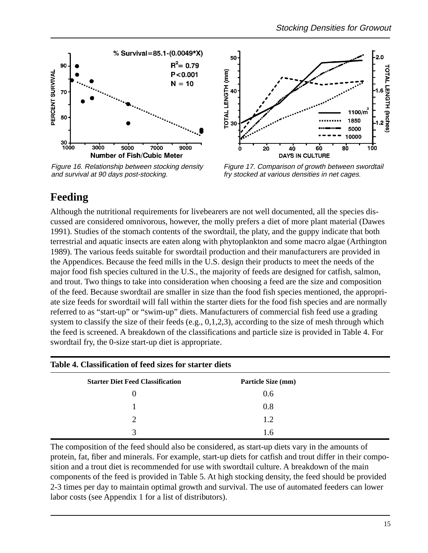

Figure 16. Relationship between stocking density and survival at 90 days post-stocking.



Figure 17. Comparison of growth between swordtail fry stocked at various densities in net cages.

### **Feeding**

Although the nutritional requirements for livebearers are not well documented, all the species discussed are considered omnivorous, however, the molly prefers a diet of more plant material (Dawes 1991). Studies of the stomach contents of the swordtail, the platy, and the guppy indicate that both terrestrial and aquatic insects are eaten along with phytoplankton and some macro algae (Arthington 1989). The various feeds suitable for swordtail production and their manufacturers are provided in the Appendices. Because the feed mills in the U.S. design their products to meet the needs of the major food fish species cultured in the U.S., the majority of feeds are designed for catfish, salmon, and trout. Two things to take into consideration when choosing a feed are the size and composition of the feed. Because swordtail are smaller in size than the food fish species mentioned, the appropriate size feeds for swordtail will fall within the starter diets for the food fish species and are normally referred to as "start-up" or "swim-up" diets. Manufacturers of commercial fish feed use a grading system to classify the size of their feeds (e.g., 0,1,2,3), according to the size of mesh through which the feed is screened. A breakdown of the classifications and particle size is provided in Table 4. For swordtail fry, the 0-size start-up diet is appropriate.

| Table 4. Classification of feed sizes for starter diets |                    |  |  |  |
|---------------------------------------------------------|--------------------|--|--|--|
| <b>Starter Diet Feed Classification</b>                 | Particle Size (mm) |  |  |  |
|                                                         | 0.6                |  |  |  |
|                                                         | 0.8                |  |  |  |
| $\mathcal{D}$                                           | 1.2                |  |  |  |
| 3                                                       | 1.6                |  |  |  |

The composition of the feed should also be considered, as start-up diets vary in the amounts of protein, fat, fiber and minerals. For example, start-up diets for catfish and trout differ in their composition and a trout diet is recommended for use with swordtail culture. A breakdown of the main components of the feed is provided in Table 5. At high stocking density, the feed should be provided 2-3 times per day to maintain optimal growth and survival. The use of automated feeders can lower labor costs (see Appendix 1 for a list of distributors).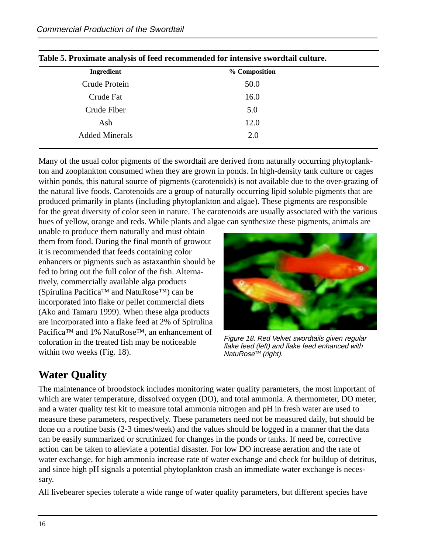| radic 9. I roximale anarysis or recu recommended for micrisive swordian culture. |               |  |  |
|----------------------------------------------------------------------------------|---------------|--|--|
| <b>Ingredient</b>                                                                | % Composition |  |  |
| Crude Protein                                                                    | 50.0          |  |  |
| Crude Fat                                                                        | 16.0          |  |  |
| Crude Fiber                                                                      | 5.0           |  |  |
| Ash                                                                              | 12.0          |  |  |
| <b>Added Minerals</b>                                                            | 2.0           |  |  |
|                                                                                  |               |  |  |

|  |  | Table 5. Proximate analysis of feed recommended for intensive swordtail culture. |  |
|--|--|----------------------------------------------------------------------------------|--|
|  |  |                                                                                  |  |

Many of the usual color pigments of the swordtail are derived from naturally occurring phytoplankton and zooplankton consumed when they are grown in ponds. In high-density tank culture or cages within ponds, this natural source of pigments (carotenoids) is not available due to the over-grazing of the natural live foods. Carotenoids are a group of naturally occurring lipid soluble pigments that are produced primarily in plants (including phytoplankton and algae). These pigments are responsible for the great diversity of color seen in nature. The carotenoids are usually associated with the various hues of yellow, orange and reds. While plants and algae can synthesize these pigments, animals are

unable to produce them naturally and must obtain them from food. During the final month of growout it is recommended that feeds containing color enhancers or pigments such as astaxanthin should be fed to bring out the full color of the fish. Alternatively, commercially available alga products (Spirulina Pacifica™ and NatuRose™) can be incorporated into flake or pellet commercial diets (Ako and Tamaru 1999). When these alga products are incorporated into a flake feed at 2% of Spirulina Pacifica™ and 1% NatuRose<sup>™</sup>, an enhancement of coloration in the treated fish may be noticeable within two weeks (Fig. 18).



Figure 18. Red Velvet swordtails given regular flake feed (left) and flake feed enhanced with NatuRose™ (right).

### **Water Quality**

The maintenance of broodstock includes monitoring water quality parameters, the most important of which are water temperature, dissolved oxygen (DO), and total ammonia. A thermometer, DO meter, and a water quality test kit to measure total ammonia nitrogen and pH in fresh water are used to measure these parameters, respectively. These parameters need not be measured daily, but should be done on a routine basis (2-3 times/week) and the values should be logged in a manner that the data can be easily summarized or scrutinized for changes in the ponds or tanks. If need be, corrective action can be taken to alleviate a potential disaster. For low DO increase aeration and the rate of water exchange, for high ammonia increase rate of water exchange and check for buildup of detritus, and since high pH signals a potential phytoplankton crash an immediate water exchange is necessary.

All livebearer species tolerate a wide range of water quality parameters, but different species have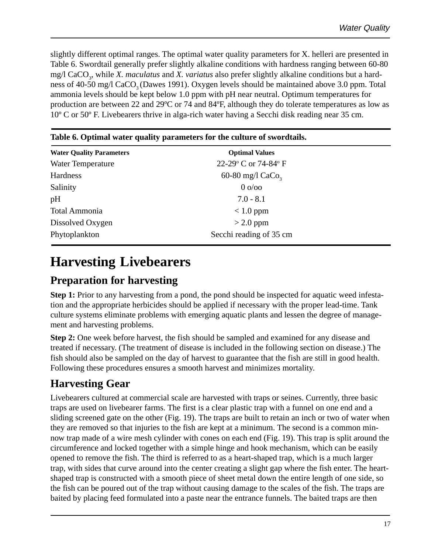slightly different optimal ranges. The optimal water quality parameters for X. helleri are presented in Table 6. Swordtail generally prefer slightly alkaline conditions with hardness ranging between 60-80 mg/l CaCO<sub>3</sub>, while *X. maculatus* and *X. variatus* also prefer slightly alkaline conditions but a hardness of 40-50 mg/l CaCO<sub>3</sub> (Dawes 1991). Oxygen levels should be maintained above 3.0 ppm. Total ammonia levels should be kept below 1.0 ppm with pH near neutral. Optimum temperatures for production are between 22 and 29ºC or 74 and 84ºF, although they do tolerate temperatures as low as 10º C or 50º F. Livebearers thrive in alga-rich water having a Secchi disk reading near 35 cm.

| Table v. Optimal water quality parameters for the culture of sworttans. |  |  |  |
|-------------------------------------------------------------------------|--|--|--|
| <b>Optimal Values</b>                                                   |  |  |  |
| 22-29° C or 74-84° F                                                    |  |  |  |
| 60-80 mg/l $CaCo3$                                                      |  |  |  |
| $0 o$ oo                                                                |  |  |  |
| $7.0 - 8.1$                                                             |  |  |  |
| $< 1.0$ ppm                                                             |  |  |  |
| $>$ 2.0 ppm                                                             |  |  |  |
| Secchi reading of 35 cm                                                 |  |  |  |
|                                                                         |  |  |  |

#### **Table 6. Optimal water quality parameters for the culture of swordtails.**

# **Harvesting Livebearers**

### **Preparation for harvesting**

**Step 1:** Prior to any harvesting from a pond, the pond should be inspected for aquatic weed infestation and the appropriate herbicides should be applied if necessary with the proper lead-time. Tank culture systems eliminate problems with emerging aquatic plants and lessen the degree of management and harvesting problems.

**Step 2:** One week before harvest, the fish should be sampled and examined for any disease and treated if necessary. (The treatment of disease is included in the following section on disease.) The fish should also be sampled on the day of harvest to guarantee that the fish are still in good health. Following these procedures ensures a smooth harvest and minimizes mortality.

### **Harvesting Gear**

Livebearers cultured at commercial scale are harvested with traps or seines. Currently, three basic traps are used on livebearer farms. The first is a clear plastic trap with a funnel on one end and a sliding screened gate on the other (Fig. 19). The traps are built to retain an inch or two of water when they are removed so that injuries to the fish are kept at a minimum. The second is a common minnow trap made of a wire mesh cylinder with cones on each end (Fig. 19). This trap is split around the circumference and locked together with a simple hinge and hook mechanism, which can be easily opened to remove the fish. The third is referred to as a heart-shaped trap, which is a much larger trap, with sides that curve around into the center creating a slight gap where the fish enter. The heartshaped trap is constructed with a smooth piece of sheet metal down the entire length of one side, so the fish can be poured out of the trap without causing damage to the scales of the fish. The traps are baited by placing feed formulated into a paste near the entrance funnels. The baited traps are then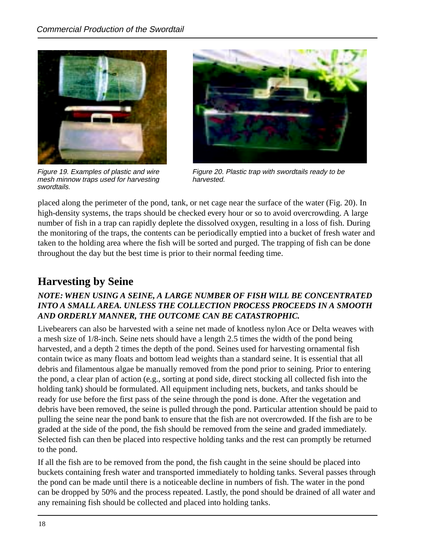

Figure 19. Examples of plastic and wire mesh minnow traps used for harvesting swordtails.



Figure 20. Plastic trap with swordtails ready to be harvested.

placed along the perimeter of the pond, tank, or net cage near the surface of the water (Fig. 20). In high-density systems, the traps should be checked every hour or so to avoid overcrowding. A large number of fish in a trap can rapidly deplete the dissolved oxygen, resulting in a loss of fish. During the monitoring of the traps, the contents can be periodically emptied into a bucket of fresh water and taken to the holding area where the fish will be sorted and purged. The trapping of fish can be done throughout the day but the best time is prior to their normal feeding time.

### **Harvesting by Seine**

#### *NOTE: WHEN USING A SEINE, A LARGE NUMBER OF FISH WILL BE CONCENTRATED INTO A SMALL AREA. UNLESS THE COLLECTION PROCESS PROCEEDS IN A SMOOTH AND ORDERLY MANNER, THE OUTCOME CAN BE CATASTROPHIC.*

Livebearers can also be harvested with a seine net made of knotless nylon Ace or Delta weaves with a mesh size of 1/8-inch. Seine nets should have a length 2.5 times the width of the pond being harvested, and a depth 2 times the depth of the pond. Seines used for harvesting ornamental fish contain twice as many floats and bottom lead weights than a standard seine. It is essential that all debris and filamentous algae be manually removed from the pond prior to seining. Prior to entering the pond, a clear plan of action (e.g., sorting at pond side, direct stocking all collected fish into the holding tank) should be formulated. All equipment including nets, buckets, and tanks should be ready for use before the first pass of the seine through the pond is done. After the vegetation and debris have been removed, the seine is pulled through the pond. Particular attention should be paid to pulling the seine near the pond bank to ensure that the fish are not overcrowded. If the fish are to be graded at the side of the pond, the fish should be removed from the seine and graded immediately. Selected fish can then be placed into respective holding tanks and the rest can promptly be returned to the pond.

If all the fish are to be removed from the pond, the fish caught in the seine should be placed into buckets containing fresh water and transported immediately to holding tanks. Several passes through the pond can be made until there is a noticeable decline in numbers of fish. The water in the pond can be dropped by 50% and the process repeated. Lastly, the pond should be drained of all water and any remaining fish should be collected and placed into holding tanks.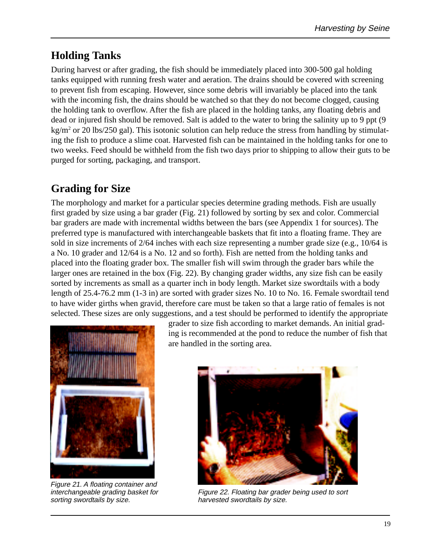### **Holding Tanks**

During harvest or after grading, the fish should be immediately placed into 300-500 gal holding tanks equipped with running fresh water and aeration. The drains should be covered with screening to prevent fish from escaping. However, since some debris will invariably be placed into the tank with the incoming fish, the drains should be watched so that they do not become clogged, causing the holding tank to overflow. After the fish are placed in the holding tanks, any floating debris and dead or injured fish should be removed. Salt is added to the water to bring the salinity up to 9 ppt (9 kg/m<sup>2</sup> or 20 lbs/250 gal). This isotonic solution can help reduce the stress from handling by stimulating the fish to produce a slime coat. Harvested fish can be maintained in the holding tanks for one to two weeks. Feed should be withheld from the fish two days prior to shipping to allow their guts to be purged for sorting, packaging, and transport.

### **Grading for Size**

The morphology and market for a particular species determine grading methods. Fish are usually first graded by size using a bar grader (Fig. 21) followed by sorting by sex and color. Commercial bar graders are made with incremental widths between the bars (see Appendix 1 for sources). The preferred type is manufactured with interchangeable baskets that fit into a floating frame. They are sold in size increments of 2/64 inches with each size representing a number grade size (e.g., 10/64 is a No. 10 grader and 12/64 is a No. 12 and so forth). Fish are netted from the holding tanks and placed into the floating grader box. The smaller fish will swim through the grader bars while the larger ones are retained in the box (Fig. 22). By changing grader widths, any size fish can be easily sorted by increments as small as a quarter inch in body length. Market size swordtails with a body length of 25.4-76.2 mm (1-3 in) are sorted with grader sizes No. 10 to No. 16. Female swordtail tend to have wider girths when gravid, therefore care must be taken so that a large ratio of females is not selected. These sizes are only suggestions, and a test should be performed to identify the appropriate



Figure 21. A floating container and interchangeable grading basket for sorting swordtails by size.

grader to size fish according to market demands. An initial grading is recommended at the pond to reduce the number of fish that are handled in the sorting area.



Figure 22. Floating bar grader being used to sort harvested swordtails by size.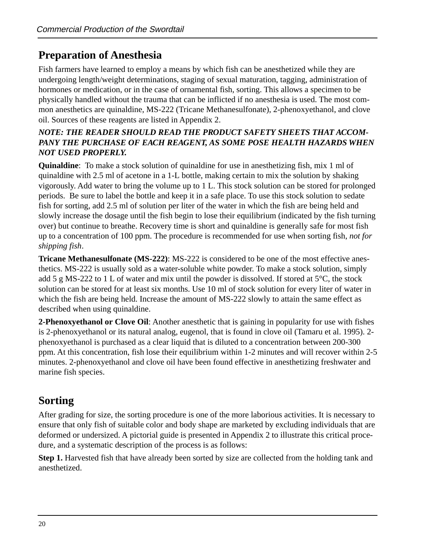### **Preparation of Anesthesia**

Fish farmers have learned to employ a means by which fish can be anesthetized while they are undergoing length/weight determinations, staging of sexual maturation, tagging, administration of hormones or medication, or in the case of ornamental fish, sorting. This allows a specimen to be physically handled without the trauma that can be inflicted if no anesthesia is used. The most common anesthetics are quinaldine, MS-222 (Tricane Methanesulfonate), 2-phenoxyethanol, and clove oil. Sources of these reagents are listed in Appendix 2.

#### *NOTE: THE READER SHOULD READ THE PRODUCT SAFETY SHEETS THAT ACCOM-PANY THE PURCHASE OF EACH REAGENT, AS SOME POSE HEALTH HAZARDS WHEN NOT USED PROPERLY.*

**Quinaldine**: To make a stock solution of quinaldine for use in anesthetizing fish, mix 1 ml of quinaldine with 2.5 ml of acetone in a 1-L bottle, making certain to mix the solution by shaking vigorously. Add water to bring the volume up to 1 L. This stock solution can be stored for prolonged periods. Be sure to label the bottle and keep it in a safe place. To use this stock solution to sedate fish for sorting, add 2.5 ml of solution per liter of the water in which the fish are being held and slowly increase the dosage until the fish begin to lose their equilibrium (indicated by the fish turning over) but continue to breathe. Recovery time is short and quinaldine is generally safe for most fish up to a concentration of 100 ppm. The procedure is recommended for use when sorting fish, *not for shipping fish*.

**Tricane Methanesulfonate (MS-222)**: MS-222 is considered to be one of the most effective anesthetics. MS-222 is usually sold as a water-soluble white powder. To make a stock solution, simply add 5 g MS-222 to 1 L of water and mix until the powder is dissolved. If stored at 5°C, the stock solution can be stored for at least six months. Use 10 ml of stock solution for every liter of water in which the fish are being held. Increase the amount of MS-222 slowly to attain the same effect as described when using quinaldine.

**2-Phenoxyethanol or Clove Oil**: Another anesthetic that is gaining in popularity for use with fishes is 2-phenoxyethanol or its natural analog, eugenol, that is found in clove oil (Tamaru et al. 1995). 2 phenoxyethanol is purchased as a clear liquid that is diluted to a concentration between 200-300 ppm. At this concentration, fish lose their equilibrium within 1-2 minutes and will recover within 2-5 minutes. 2-phenoxyethanol and clove oil have been found effective in anesthetizing freshwater and marine fish species.

### **Sorting**

After grading for size, the sorting procedure is one of the more laborious activities. It is necessary to ensure that only fish of suitable color and body shape are marketed by excluding individuals that are deformed or undersized. A pictorial guide is presented in Appendix 2 to illustrate this critical procedure, and a systematic description of the process is as follows:

**Step 1.** Harvested fish that have already been sorted by size are collected from the holding tank and anesthetized.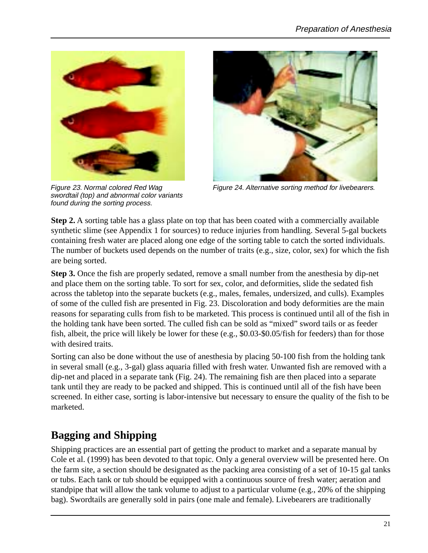

Figure 23. Normal colored Red Wag swordtail (top) and abnormal color variants found during the sorting process.



Figure 24. Alternative sorting method for livebearers.

**Step 2.** A sorting table has a glass plate on top that has been coated with a commercially available synthetic slime (see Appendix 1 for sources) to reduce injuries from handling. Several 5-gal buckets containing fresh water are placed along one edge of the sorting table to catch the sorted individuals. The number of buckets used depends on the number of traits (e.g., size, color, sex) for which the fish are being sorted.

**Step 3.** Once the fish are properly sedated, remove a small number from the anesthesia by dip-net and place them on the sorting table. To sort for sex, color, and deformities, slide the sedated fish across the tabletop into the separate buckets (e.g., males, females, undersized, and culls). Examples of some of the culled fish are presented in Fig. 23. Discoloration and body deformities are the main reasons for separating culls from fish to be marketed. This process is continued until all of the fish in the holding tank have been sorted. The culled fish can be sold as "mixed" sword tails or as feeder fish, albeit, the price will likely be lower for these (e.g., \$0.03-\$0.05/fish for feeders) than for those with desired traits.

Sorting can also be done without the use of anesthesia by placing 50-100 fish from the holding tank in several small (e.g., 3-gal) glass aquaria filled with fresh water. Unwanted fish are removed with a dip-net and placed in a separate tank (Fig. 24). The remaining fish are then placed into a separate tank until they are ready to be packed and shipped. This is continued until all of the fish have been screened. In either case, sorting is labor-intensive but necessary to ensure the quality of the fish to be marketed.

### **Bagging and Shipping**

Shipping practices are an essential part of getting the product to market and a separate manual by Cole et al. (1999) has been devoted to that topic. Only a general overview will be presented here. On the farm site, a section should be designated as the packing area consisting of a set of 10-15 gal tanks or tubs. Each tank or tub should be equipped with a continuous source of fresh water; aeration and standpipe that will allow the tank volume to adjust to a particular volume (e.g., 20% of the shipping bag). Swordtails are generally sold in pairs (one male and female). Livebearers are traditionally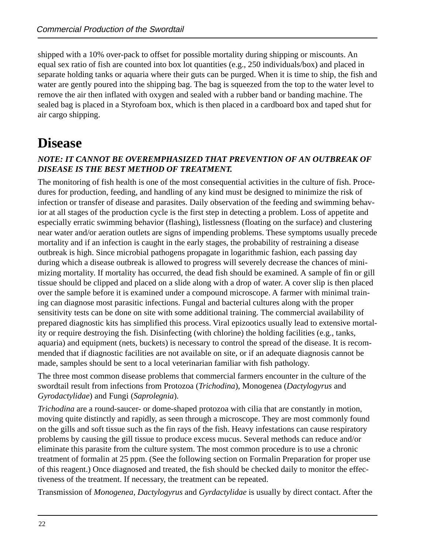shipped with a 10% over-pack to offset for possible mortality during shipping or miscounts. An equal sex ratio of fish are counted into box lot quantities (e.g., 250 individuals/box) and placed in separate holding tanks or aquaria where their guts can be purged. When it is time to ship, the fish and water are gently poured into the shipping bag. The bag is squeezed from the top to the water level to remove the air then inflated with oxygen and sealed with a rubber band or banding machine. The sealed bag is placed in a Styrofoam box, which is then placed in a cardboard box and taped shut for air cargo shipping.

# **Disease**

#### *NOTE: IT CANNOT BE OVEREMPHASIZED THAT PREVENTION OF AN OUTBREAK OF DISEASE IS THE BEST METHOD OF TREATMENT.*

The monitoring of fish health is one of the most consequential activities in the culture of fish. Procedures for production, feeding, and handling of any kind must be designed to minimize the risk of infection or transfer of disease and parasites. Daily observation of the feeding and swimming behavior at all stages of the production cycle is the first step in detecting a problem. Loss of appetite and especially erratic swimming behavior (flashing), listlessness (floating on the surface) and clustering near water and/or aeration outlets are signs of impending problems. These symptoms usually precede mortality and if an infection is caught in the early stages, the probability of restraining a disease outbreak is high. Since microbial pathogens propagate in logarithmic fashion, each passing day during which a disease outbreak is allowed to progress will severely decrease the chances of minimizing mortality. If mortality has occurred, the dead fish should be examined. A sample of fin or gill tissue should be clipped and placed on a slide along with a drop of water. A cover slip is then placed over the sample before it is examined under a compound microscope. A farmer with minimal training can diagnose most parasitic infections. Fungal and bacterial cultures along with the proper sensitivity tests can be done on site with some additional training. The commercial availability of prepared diagnostic kits has simplified this process. Viral epizootics usually lead to extensive mortality or require destroying the fish. Disinfecting (with chlorine) the holding facilities (e.g., tanks, aquaria) and equipment (nets, buckets) is necessary to control the spread of the disease. It is recommended that if diagnostic facilities are not available on site, or if an adequate diagnosis cannot be made, samples should be sent to a local veterinarian familiar with fish pathology.

The three most common disease problems that commercial farmers encounter in the culture of the swordtail result from infections from Protozoa (*Trichodina*), Monogenea (*Dactylogyrus* and *Gyrodactylidae*) and Fungi (*Saprolegnia*).

*Trichodina* are a round-saucer- or dome-shaped protozoa with cilia that are constantly in motion, moving quite distinctly and rapidly, as seen through a microscope. They are most commonly found on the gills and soft tissue such as the fin rays of the fish. Heavy infestations can cause respiratory problems by causing the gill tissue to produce excess mucus. Several methods can reduce and/or eliminate this parasite from the culture system. The most common procedure is to use a chronic treatment of formalin at 25 ppm. (See the following section on Formalin Preparation for proper use of this reagent.) Once diagnosed and treated, the fish should be checked daily to monitor the effectiveness of the treatment. If necessary, the treatment can be repeated.

Transmission of *Monogenea, Dactylogyrus* and *Gyrdactylidae* is usually by direct contact. After the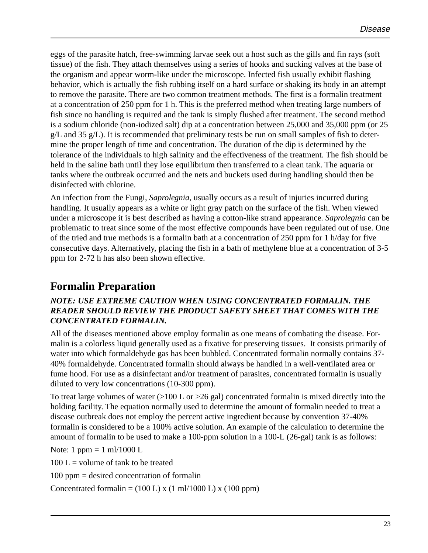eggs of the parasite hatch, free-swimming larvae seek out a host such as the gills and fin rays (soft tissue) of the fish. They attach themselves using a series of hooks and sucking valves at the base of the organism and appear worm-like under the microscope. Infected fish usually exhibit flashing behavior, which is actually the fish rubbing itself on a hard surface or shaking its body in an attempt to remove the parasite. There are two common treatment methods. The first is a formalin treatment at a concentration of 250 ppm for 1 h. This is the preferred method when treating large numbers of fish since no handling is required and the tank is simply flushed after treatment. The second method is a sodium chloride (non-iodized salt) dip at a concentration between 25,000 and 35,000 ppm (or 25  $g/L$  and 35  $g/L$ ). It is recommended that preliminary tests be run on small samples of fish to determine the proper length of time and concentration. The duration of the dip is determined by the tolerance of the individuals to high salinity and the effectiveness of the treatment. The fish should be held in the saline bath until they lose equilibrium then transferred to a clean tank. The aquaria or tanks where the outbreak occurred and the nets and buckets used during handling should then be disinfected with chlorine.

An infection from the Fungi, *Saprolegnia*, usually occurs as a result of injuries incurred during handling. It usually appears as a white or light gray patch on the surface of the fish. When viewed under a microscope it is best described as having a cotton-like strand appearance. *Saprolegnia* can be problematic to treat since some of the most effective compounds have been regulated out of use. One of the tried and true methods is a formalin bath at a concentration of 250 ppm for 1 h/day for five consecutive days. Alternatively, placing the fish in a bath of methylene blue at a concentration of 3-5 ppm for 2-72 h has also been shown effective.

### **Formalin Preparation**

#### *NOTE: USE EXTREME CAUTION WHEN USING CONCENTRATED FORMALIN. THE READER SHOULD REVIEW THE PRODUCT SAFETY SHEET THAT COMES WITH THE CONCENTRATED FORMALIN.*

All of the diseases mentioned above employ formalin as one means of combating the disease. Formalin is a colorless liquid generally used as a fixative for preserving tissues. It consists primarily of water into which formaldehyde gas has been bubbled. Concentrated formalin normally contains 37- 40% formaldehyde. Concentrated formalin should always be handled in a well-ventilated area or fume hood. For use as a disinfectant and/or treatment of parasites, concentrated formalin is usually diluted to very low concentrations (10-300 ppm).

To treat large volumes of water  $(>100 \text{ L or } >26 \text{ gal})$  concentrated formalin is mixed directly into the holding facility. The equation normally used to determine the amount of formalin needed to treat a disease outbreak does not employ the percent active ingredient because by convention 37-40% formalin is considered to be a 100% active solution. An example of the calculation to determine the amount of formalin to be used to make a 100-ppm solution in a 100-L (26-gal) tank is as follows:

Note: 1 ppm = 1 ml/1000 L

 $100 L =$  volume of tank to be treated

100 ppm = desired concentration of formalin

Concentrated formalin =  $(100 L)$  x  $(1 ml/1000 L)$  x  $(100 ppm)$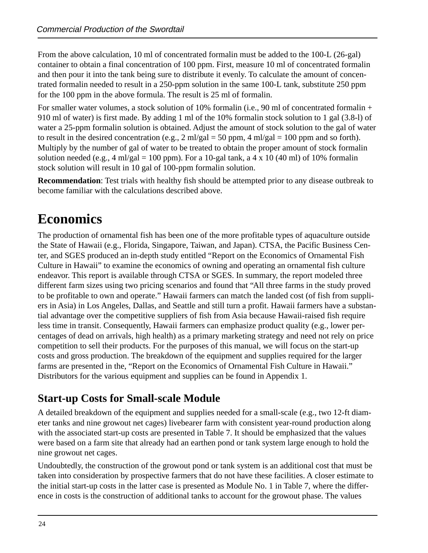From the above calculation, 10 ml of concentrated formalin must be added to the 100-L (26-gal) container to obtain a final concentration of 100 ppm. First, measure 10 ml of concentrated formalin and then pour it into the tank being sure to distribute it evenly. To calculate the amount of concentrated formalin needed to result in a 250-ppm solution in the same 100-L tank, substitute 250 ppm for the 100 ppm in the above formula. The result is 25 ml of formalin.

For smaller water volumes, a stock solution of 10% formalin (i.e., 90 ml of concentrated formalin + 910 ml of water) is first made. By adding 1 ml of the 10% formalin stock solution to 1 gal (3.8-l) of water a 25-ppm formalin solution is obtained. Adjust the amount of stock solution to the gal of water to result in the desired concentration (e.g., 2 ml/gal = 50 ppm, 4 ml/gal = 100 ppm and so forth). Multiply by the number of gal of water to be treated to obtain the proper amount of stock formalin solution needed (e.g.,  $4 \text{ ml/gal} = 100 \text{ ppm}$ ). For a 10-gal tank, a  $4 \times 10$  (40 ml) of 10% formalin stock solution will result in 10 gal of 100-ppm formalin solution.

**Recommendation**: Test trials with healthy fish should be attempted prior to any disease outbreak to become familiar with the calculations described above.

# **Economics**

The production of ornamental fish has been one of the more profitable types of aquaculture outside the State of Hawaii (e.g., Florida, Singapore, Taiwan, and Japan). CTSA, the Pacific Business Center, and SGES produced an in-depth study entitled "Report on the Economics of Ornamental Fish Culture in Hawaii" to examine the economics of owning and operating an ornamental fish culture endeavor. This report is available through CTSA or SGES. In summary, the report modeled three different farm sizes using two pricing scenarios and found that "All three farms in the study proved to be profitable to own and operate." Hawaii farmers can match the landed cost (of fish from suppliers in Asia) in Los Angeles, Dallas, and Seattle and still turn a profit. Hawaii farmers have a substantial advantage over the competitive suppliers of fish from Asia because Hawaii-raised fish require less time in transit. Consequently, Hawaii farmers can emphasize product quality (e.g., lower percentages of dead on arrivals, high health) as a primary marketing strategy and need not rely on price competition to sell their products. For the purposes of this manual, we will focus on the start-up costs and gross production. The breakdown of the equipment and supplies required for the larger farms are presented in the, "Report on the Economics of Ornamental Fish Culture in Hawaii." Distributors for the various equipment and supplies can be found in Appendix 1.

### **Start-up Costs for Small-scale Module**

A detailed breakdown of the equipment and supplies needed for a small-scale (e.g., two 12-ft diameter tanks and nine growout net cages) livebearer farm with consistent year-round production along with the associated start-up costs are presented in Table 7. It should be emphasized that the values were based on a farm site that already had an earthen pond or tank system large enough to hold the nine growout net cages.

Undoubtedly, the construction of the growout pond or tank system is an additional cost that must be taken into consideration by prospective farmers that do not have these facilities. A closer estimate to the initial start-up costs in the latter case is presented as Module No. 1 in Table 7, where the difference in costs is the construction of additional tanks to account for the growout phase. The values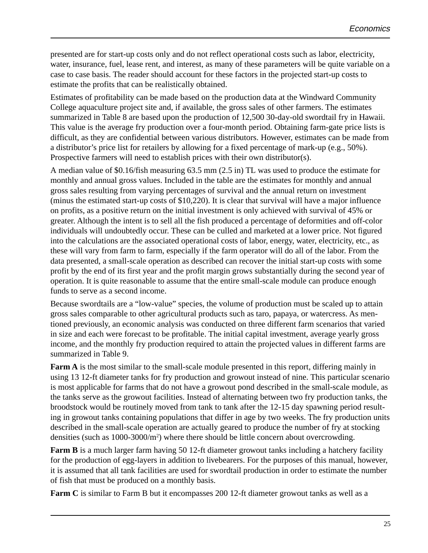presented are for start-up costs only and do not reflect operational costs such as labor, electricity, water, insurance, fuel, lease rent, and interest, as many of these parameters will be quite variable on a case to case basis. The reader should account for these factors in the projected start-up costs to estimate the profits that can be realistically obtained.

Estimates of profitability can be made based on the production data at the Windward Community College aquaculture project site and, if available, the gross sales of other farmers. The estimates summarized in Table 8 are based upon the production of 12,500 30-day-old swordtail fry in Hawaii. This value is the average fry production over a four-month period. Obtaining farm-gate price lists is difficult, as they are confidential between various distributors. However, estimates can be made from a distributor's price list for retailers by allowing for a fixed percentage of mark-up (e.g., 50%). Prospective farmers will need to establish prices with their own distributor(s).

A median value of \$0.16/fish measuring 63.5 mm (2.5 in) TL was used to produce the estimate for monthly and annual gross values. Included in the table are the estimates for monthly and annual gross sales resulting from varying percentages of survival and the annual return on investment (minus the estimated start-up costs of \$10,220). It is clear that survival will have a major influence on profits, as a positive return on the initial investment is only achieved with survival of 45% or greater. Although the intent is to sell all the fish produced a percentage of deformities and off-color individuals will undoubtedly occur. These can be culled and marketed at a lower price. Not figured into the calculations are the associated operational costs of labor, energy, water, electricity, etc., as these will vary from farm to farm, especially if the farm operator will do all of the labor. From the data presented, a small-scale operation as described can recover the initial start-up costs with some profit by the end of its first year and the profit margin grows substantially during the second year of operation. It is quite reasonable to assume that the entire small-scale module can produce enough funds to serve as a second income.

Because swordtails are a "low-value" species, the volume of production must be scaled up to attain gross sales comparable to other agricultural products such as taro, papaya, or watercress. As mentioned previously, an economic analysis was conducted on three different farm scenarios that varied in size and each were forecast to be profitable. The initial capital investment, average yearly gross income, and the monthly fry production required to attain the projected values in different farms are summarized in Table 9.

**Farm A** is the most similar to the small-scale module presented in this report, differing mainly in using 13 12-ft diameter tanks for fry production and growout instead of nine. This particular scenario is most applicable for farms that do not have a growout pond described in the small-scale module, as the tanks serve as the growout facilities. Instead of alternating between two fry production tanks, the broodstock would be routinely moved from tank to tank after the 12-15 day spawning period resulting in growout tanks containing populations that differ in age by two weeks. The fry production units described in the small-scale operation are actually geared to produce the number of fry at stocking densities (such as 1000-3000/m<sup>2</sup>) where there should be little concern about overcrowding.

**Farm B** is a much larger farm having 50 12-ft diameter growout tanks including a hatchery facility for the production of egg-layers in addition to livebearers. For the purposes of this manual, however, it is assumed that all tank facilities are used for swordtail production in order to estimate the number of fish that must be produced on a monthly basis.

Farm C is similar to Farm B but it encompasses 200 12-ft diameter growout tanks as well as a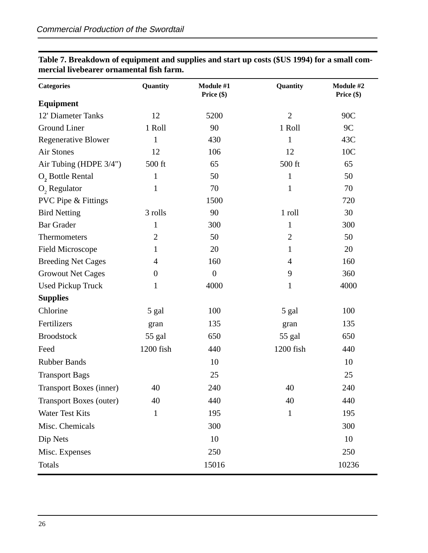| <b>Categories</b>              | Quantity         | Module #1<br>Price $(\$)$ | Quantity       | Module #2<br>Price $(\$)$ |
|--------------------------------|------------------|---------------------------|----------------|---------------------------|
| <b>Equipment</b>               |                  |                           |                |                           |
| 12' Diameter Tanks             | 12               | 5200                      | $\overline{2}$ | 90C                       |
| Ground Liner                   | 1 Roll           | 90                        | 1 Roll         | 9C                        |
| <b>Regenerative Blower</b>     | 1                | 430                       | 1              | 43C                       |
| <b>Air Stones</b>              | 12               | 106                       | 12             | 10C                       |
| Air Tubing (HDPE 3/4")         | 500 ft           | 65                        | 500 ft         | 65                        |
| O, Bottle Rental               | $\mathbf{1}$     | 50                        | $\mathbf{1}$   | 50                        |
| O <sub>2</sub> Regulator       | $\mathbf{1}$     | 70                        | 1              | 70                        |
| <b>PVC Pipe &amp; Fittings</b> |                  | 1500                      |                | 720                       |
| <b>Bird Netting</b>            | 3 rolls          | 90                        | 1 roll         | 30                        |
| <b>Bar Grader</b>              | 1                | 300                       | 1              | 300                       |
| Thermometers                   | $\overline{2}$   | 50                        | $\overline{2}$ | 50                        |
| <b>Field Microscope</b>        | 1                | 20                        | 1              | 20                        |
| <b>Breeding Net Cages</b>      | $\overline{4}$   | 160                       | 4              | 160                       |
| <b>Growout Net Cages</b>       | $\boldsymbol{0}$ | $\boldsymbol{0}$          | 9              | 360                       |
| <b>Used Pickup Truck</b>       | 1                | 4000                      | $\mathbf{1}$   | 4000                      |
| <b>Supplies</b>                |                  |                           |                |                           |
| Chlorine                       | 5 gal            | 100                       | 5 gal          | 100                       |
| Fertilizers                    | gran             | 135                       | gran           | 135                       |
| <b>Broodstock</b>              | 55 gal           | 650                       | 55 gal         | 650                       |
| Feed                           | 1200 fish        | 440                       | 1200 fish      | 440                       |
| <b>Rubber Bands</b>            |                  | 10                        |                | 10                        |
| <b>Transport Bags</b>          |                  | 25                        |                | 25                        |
| <b>Transport Boxes (inner)</b> | 40               | 240                       | 40             | 240                       |
| <b>Transport Boxes (outer)</b> | 40               | 440                       | 40             | 440                       |
| Water Test Kits                | $\mathbf{1}$     | 195                       | $\mathbf{1}$   | 195                       |
| Misc. Chemicals                |                  | 300                       |                | 300                       |
| Dip Nets                       |                  | 10                        |                | 10                        |
| Misc. Expenses                 |                  | 250                       |                | 250                       |
| <b>Totals</b>                  |                  | 15016                     |                | 10236                     |

**Table 7. Breakdown of equipment and supplies and start up costs (\$US 1994) for a small commercial livebearer ornamental fish farm.**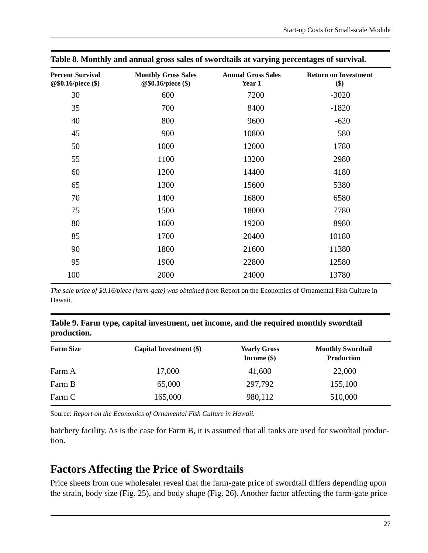| <b>Percent Survival</b><br>@\$0.16/piece (\$) | <b>Monthly Gross Sales</b><br>@\$0.16/piece (\$) | <b>Annual Gross Sales</b><br>Year 1 | <b>Return on Investment</b><br>\$) |
|-----------------------------------------------|--------------------------------------------------|-------------------------------------|------------------------------------|
| 30                                            | 600                                              | 7200                                | $-3020$                            |
| 35                                            | 700                                              | 8400                                | $-1820$                            |
| 40                                            | 800                                              | 9600                                | $-620$                             |
| 45                                            | 900                                              | 10800                               | 580                                |
| 50                                            | 1000                                             | 12000                               | 1780                               |
| 55                                            | 1100                                             | 13200                               | 2980                               |
| 60                                            | 1200                                             | 14400                               | 4180                               |
| 65                                            | 1300                                             | 15600                               | 5380                               |
| 70                                            | 1400                                             | 16800                               | 6580                               |
| 75                                            | 1500                                             | 18000                               | 7780                               |
| 80                                            | 1600                                             | 19200                               | 8980                               |
| 85                                            | 1700                                             | 20400                               | 10180                              |
| 90                                            | 1800                                             | 21600                               | 11380                              |
| 95                                            | 1900                                             | 22800                               | 12580                              |
| 100                                           | 2000                                             | 24000                               | 13780                              |

**Table 8. Monthly and annual gross sales of swordtails at varying percentages of survival.**

*The sale price of \$0.16/piece (farm-gate) was obtained from Report on the Economics of Ornamental Fish Culture in* Hawaii.

#### **Table 9. Farm type, capital investment, net income, and the required monthly swordtail production.**

| <b>Farm Size</b> | Capital Investment (\$) | <b>Yearly Gross</b><br>Income $(\$)$ | <b>Monthly Swordtail</b><br><b>Production</b> |
|------------------|-------------------------|--------------------------------------|-----------------------------------------------|
| Farm A           | 17,000                  | 41,600                               | 22,000                                        |
| Farm B           | 65,000                  | 297,792                              | 155,100                                       |
| Farm C           | 165,000                 | 980,112                              | 510,000                                       |

Source: *Report on the Economics of Ornamental Fish Culture in Hawaii.*

hatchery facility. As is the case for Farm B, it is assumed that all tanks are used for swordtail production.

### **Factors Affecting the Price of Swordtails**

Price sheets from one wholesaler reveal that the farm-gate price of swordtail differs depending upon the strain, body size (Fig. 25), and body shape (Fig. 26). Another factor affecting the farm-gate price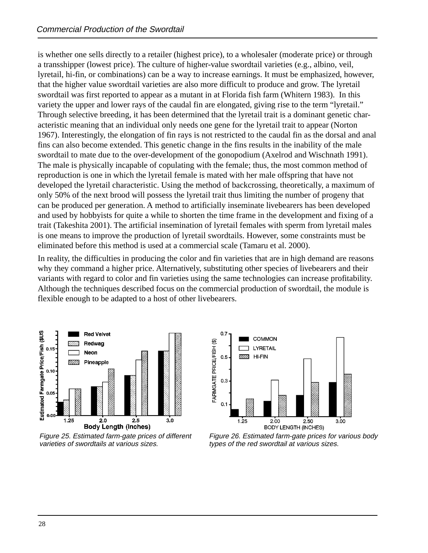is whether one sells directly to a retailer (highest price), to a wholesaler (moderate price) or through a transshipper (lowest price). The culture of higher-value swordtail varieties (e.g., albino, veil, lyretail, hi-fin, or combinations) can be a way to increase earnings. It must be emphasized, however, that the higher value swordtail varieties are also more difficult to produce and grow. The lyretail swordtail was first reported to appear as a mutant in at Florida fish farm (Whitern 1983). In this variety the upper and lower rays of the caudal fin are elongated, giving rise to the term "lyretail." Through selective breeding, it has been determined that the lyretail trait is a dominant genetic characteristic meaning that an individual only needs one gene for the lyretail trait to appear (Norton 1967). Interestingly, the elongation of fin rays is not restricted to the caudal fin as the dorsal and anal fins can also become extended. This genetic change in the fins results in the inability of the male swordtail to mate due to the over-development of the gonopodium (Axelrod and Wischnath 1991). The male is physically incapable of copulating with the female; thus, the most common method of reproduction is one in which the lyretail female is mated with her male offspring that have not developed the lyretail characteristic. Using the method of backcrossing, theoretically, a maximum of only 50% of the next brood will possess the lyretail trait thus limiting the number of progeny that can be produced per generation. A method to artificially inseminate livebearers has been developed and used by hobbyists for quite a while to shorten the time frame in the development and fixing of a trait (Takeshita 2001). The artificial insemination of lyretail females with sperm from lyretail males is one means to improve the production of lyretail swordtails. However, some constraints must be eliminated before this method is used at a commercial scale (Tamaru et al. 2000).

In reality, the difficulties in producing the color and fin varieties that are in high demand are reasons why they command a higher price. Alternatively, substituting other species of livebearers and their variants with regard to color and fin varieties using the same technologies can increase profitability. Although the techniques described focus on the commercial production of swordtail, the module is flexible enough to be adapted to a host of other livebearers.



Figure 25. Estimated farm-gate prices of different varieties of swordtails at various sizes.



Figure 26. Estimated farm-gate prices for various body types of the red swordtail at various sizes.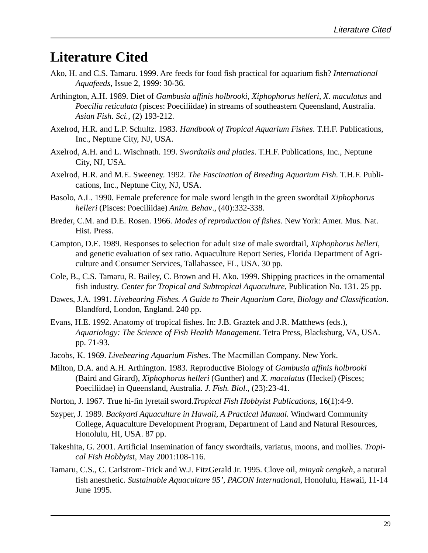# **Literature Cited**

- Ako, H. and C.S. Tamaru. 1999. Are feeds for food fish practical for aquarium fish? *International Aquafeeds*, Issue 2, 1999: 30-36.
- Arthington, A.H. 1989. Diet of *Gambusia affinis holbrooki*, *Xiphophorus helleri*, *X. maculatus* and *Poecilia reticulata* (pisces: Poeciliidae) in streams of southeastern Queensland, Australia. *Asian Fish. Sci.,* (2) 193-212.
- Axelrod, H.R. and L.P. Schultz. 1983. *Handbook of Tropical Aquarium Fishes*. T.H.F. Publications, Inc., Neptune City, NJ, USA.
- Axelrod, A.H. and L. Wischnath. 199. *Swordtails and platies*. T.H.F. Publications, Inc., Neptune City, NJ, USA.
- Axelrod, H.R. and M.E. Sweeney. 1992. *The Fascination of Breeding Aquarium Fish*. T.H.F. Publications, Inc., Neptune City, NJ, USA.
- Basolo, A.L. 1990. Female preference for male sword length in the green swordtail *Xiphophorus helleri* (Pisces: Poeciliidae) *Anim. Behav*., (40):332-338.
- Breder, C.M. and D.E. Rosen. 1966. *Modes of reproduction of fishes*. New York: Amer. Mus. Nat. Hist. Press.
- Campton, D.E. 1989. Responses to selection for adult size of male swordtail, *Xiphophorus helleri*, and genetic evaluation of sex ratio. Aquaculture Report Series, Florida Department of Agriculture and Consumer Services, Tallahassee, FL, USA. 30 pp.
- Cole, B., C.S. Tamaru, R. Bailey, C. Brown and H. Ako. 1999. Shipping practices in the ornamental fish industry. *Center for Tropical and Subtropical Aquaculture,* Publication No. 131. 25 pp.
- Dawes, J.A. 1991. *Livebearing Fishes. A Guide to Their Aquarium Care, Biology and Classification*. Blandford, London, England. 240 pp.
- Evans, H.E. 1992. Anatomy of tropical fishes. In: J.B. Graztek and J.R. Matthews (eds.), *Aquariology: The Science of Fish Health Management*. Tetra Press, Blacksburg, VA, USA. pp. 71-93.
- Jacobs, K. 1969. *Livebearing Aquarium Fishes*. The Macmillan Company. New York.
- Milton, D.A. and A.H. Arthington. 1983. Reproductive Biology of *Gambusia affinis holbrooki* (Baird and Girard), *Xiphophorus helleri* (Gunther) and *X. maculatus* (Heckel) (Pisces; Poeciliidae) in Queensland, Australia. *J. Fish. Biol*., (23):23-41.
- Norton, J. 1967. True hi-fin lyretail sword.*Tropical Fish Hobbyist Publications*, 16(1):4-9.
- Szyper, J. 1989. *Backyard Aquaculture in Hawaii, A Practical Manual.* Windward Community College, Aquaculture Development Program, Department of Land and Natural Resources, Honolulu, HI, USA. 87 pp.
- Takeshita, G. 2001. Artificial Insemination of fancy swordtails, variatus, moons, and mollies. *Tropical Fish Hobbyis*t, May 2001:108-116.
- Tamaru, C.S., C. Carlstrom-Trick and W.J. FitzGerald Jr. 1995. Clove oil, *minyak cengkeh*, a natural fish anesthetic. *Sustainable Aquaculture 95', PACON Internationa*l, Honolulu, Hawaii, 11-14 June 1995.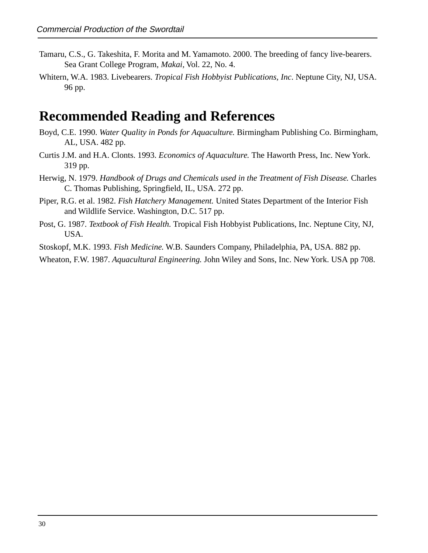- Tamaru, C.S., G. Takeshita, F. Morita and M. Yamamoto. 2000. The breeding of fancy live-bearers. Sea Grant College Program, *Makai,* Vol. 22, No. 4.
- Whitern, W.A. 1983. Livebearers. *Tropical Fish Hobbyist Publications, Inc*. Neptune City, NJ, USA. 96 pp.

### **Recommended Reading and References**

- Boyd, C.E. 1990. *Water Quality in Ponds for Aquaculture.* Birmingham Publishing Co. Birmingham, AL, USA. 482 pp.
- Curtis J.M. and H.A. Clonts. 1993. *Economics of Aquaculture.* The Haworth Press, Inc. New York. 319 pp.
- Herwig, N. 1979. *Handbook of Drugs and Chemicals used in the Treatment of Fish Disease.* Charles C. Thomas Publishing, Springfield, IL, USA. 272 pp.
- Piper, R.G. et al. 1982. *Fish Hatchery Management.* United States Department of the Interior Fish and Wildlife Service. Washington, D.C. 517 pp.
- Post, G. 1987. *Textbook of Fish Health.* Tropical Fish Hobbyist Publications, Inc. Neptune City, NJ, USA.

Stoskopf, M.K. 1993. *Fish Medicine.* W.B. Saunders Company, Philadelphia, PA, USA. 882 pp.

Wheaton, F.W. 1987. *Aquacultural Engineering.* John Wiley and Sons, Inc. New York. USA pp 708.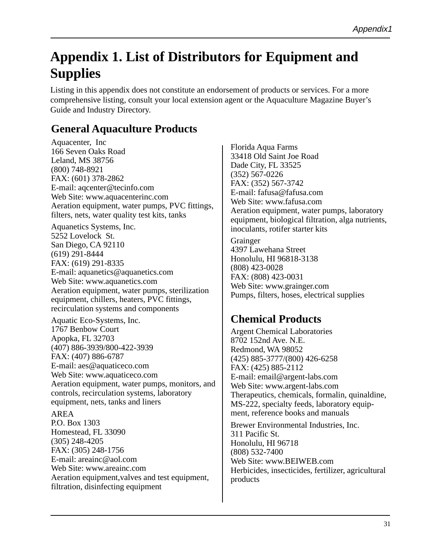# **Appendix 1. List of Distributors for Equipment and Supplies**

Listing in this appendix does not constitute an endorsement of products or services. For a more comprehensive listing, consult your local extension agent or the Aquaculture Magazine Buyer's Guide and Industry Directory.

### **General Aquaculture Products**

Aquacenter, Inc 166 Seven Oaks Road Leland, MS 38756 (800) 748-8921 FAX: (601) 378-2862 E-mail: aqcenter@tecinfo.com Web Site: www.aquacenterinc.com Aeration equipment, water pumps, PVC fittings, filters, nets, water quality test kits, tanks

Aquanetics Systems, Inc. 5252 Lovelock St. San Diego, CA 92110 (619) 291-8444 FAX: (619) 291-8335 E-mail: aquanetics@aquanetics.com Web Site: www.aquanetics.com Aeration equipment, water pumps, sterilization equipment, chillers, heaters, PVC fittings, recirculation systems and components

Aquatic Eco-Systems, Inc. 1767 Benbow Court Apopka, FL 32703 (407) 886-3939/800-422-3939 FAX: (407) 886-6787 E-mail: aes@aquaticeco.com Web Site: www.aquaticeco.com Aeration equipment, water pumps, monitors, and controls, recirculation systems, laboratory equipment, nets, tanks and liners

#### AREA

P.O. Box 1303 Homestead, FL 33090 (305) 248-4205 FAX: (305) 248-1756 E-mail: areainc@aol.com Web Site: www.areainc.com Aeration equipment,valves and test equipment, filtration, disinfecting equipment

Florida Aqua Farms 33418 Old Saint Joe Road Dade City, FL 33525 (352) 567-0226 FAX: (352) 567-3742 E-mail: fafusa@fafusa.com Web Site: www.fafusa.com Aeration equipment, water pumps, laboratory equipment, biological filtration, alga nutrients, inoculants, rotifer starter kits

Grainger 4397 Lawehana Street Honolulu, HI 96818-3138 (808) 423-0028 FAX: (808) 423-0031 Web Site: www.grainger.com Pumps, filters, hoses, electrical supplies

### **Chemical Products**

Argent Chemical Laboratories 8702 152nd Ave. N.E. Redmond, WA 98052 (425) 885-3777/(800) 426-6258 FAX: (425) 885-2112 E-mail: email@argent-labs.com Web Site: www.argent-labs.com Therapeutics, chemicals, formalin, quinaldine, MS-222, specialty feeds, laboratory equipment, reference books and manuals

Brewer Environmental Industries, Inc. 311 Pacific St. Honolulu, HI 96718 (808) 532-7400 Web Site: www.BEIWEB.com Herbicides, insecticides, fertilizer, agricultural products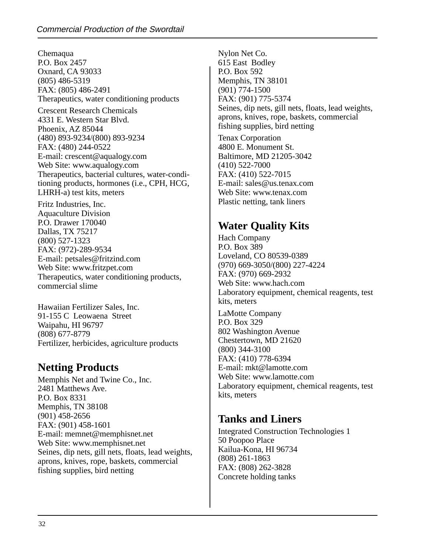Chemaqua P.O. Box 2457 Oxnard, CA 93033 (805) 486-5319 FAX: (805) 486-2491 Therapeutics, water conditioning products

Crescent Research Chemicals 4331 E. Western Star Blvd. Phoenix, AZ 85044 (480) 893-9234/(800) 893-9234 FAX: (480) 244-0522 E-mail: crescent@aqualogy.com Web Site: www.aqualogy.com Therapeutics, bacterial cultures, water-conditioning products, hormones (i.e., CPH, HCG, LHRH-a) test kits, meters

Fritz Industries, Inc. Aquaculture Division P.O. Drawer 170040 Dallas, TX 75217 (800) 527-1323 FAX: (972)-289-9534 E-mail: petsales@fritzind.com Web Site: www.fritzpet.com Therapeutics, water conditioning products, commercial slime

Hawaiian Fertilizer Sales, Inc. 91-155 C Leowaena Street Waipahu, HI 96797 (808) 677-8779 Fertilizer, herbicides, agriculture products

### **Netting Products**

Memphis Net and Twine Co., Inc. 2481 Matthews Ave. P.O. Box 8331 Memphis, TN 38108 (901) 458-2656 FAX: (901) 458-1601 E-mail: memnet@memphisnet.net Web Site: www.memphisnet.net Seines, dip nets, gill nets, floats, lead weights, aprons, knives, rope, baskets, commercial fishing supplies, bird netting

Nylon Net Co. 615 East Bodley P.O. Box 592 Memphis, TN 38101 (901) 774-1500 FAX: (901) 775-5374 Seines, dip nets, gill nets, floats, lead weights, aprons, knives, rope, baskets, commercial fishing supplies, bird netting

Tenax Corporation 4800 E. Monument St. Baltimore, MD 21205-3042 (410) 522-7000 FAX: (410) 522-7015 E-mail: sales@us.tenax.com Web Site: www.tenax.com Plastic netting, tank liners

### **Water Quality Kits**

Hach Company P.O. Box 389 Loveland, CO 80539-0389 (970) 669-3050/(800) 227-4224 FAX: (970) 669-2932 Web Site: www.hach.com Laboratory equipment, chemical reagents, test kits, meters LaMotte Company P.O. Box 329 802 Washington Avenue Chestertown, MD 21620 (800) 344-3100 FAX: (410) 778-6394 E-mail: mkt@lamotte.com Web Site: www.lamotte.com Laboratory equipment, chemical reagents, test kits, meters

### **Tanks and Liners**

Integrated Construction Technologies 1 50 Poopoo Place Kailua-Kona, HI 96734 (808) 261-1863 FAX: (808) 262-3828 Concrete holding tanks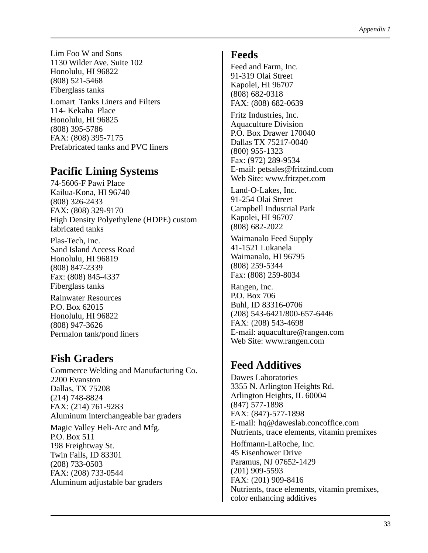Lim Foo W and Sons 1130 Wilder Ave. Suite 102 Honolulu, HI 96822 (808) 521-5468 Fiberglass tanks

Lomart Tanks Liners and Filters 114- Kekaha Place Honolulu, HI 96825 (808) 395-5786 FAX: (808) 395-7175 Prefabricated tanks and PVC liners

### **Pacific Lining Systems**

74-5606-F Pawi Place Kailua-Kona, HI 96740 (808) 326-2433 FAX: (808) 329-9170 High Density Polyethylene (HDPE) custom fabricated tanks

Plas-Tech, Inc. Sand Island Access Road Honolulu, HI 96819 (808) 847-2339 Fax: (808) 845-4337 Fiberglass tanks

Rainwater Resources P.O. Box 62015 Honolulu, HI 96822 (808) 947-3626 Permalon tank/pond liners

### **Fish Graders**

Commerce Welding and Manufacturing Co. 2200 Evanston Dallas, TX 75208 (214) 748-8824 FAX: (214) 761-9283 Aluminum interchangeable bar graders

Magic Valley Heli-Arc and Mfg. P.O. Box 511 198 Freightway St. Twin Falls, ID 83301 (208) 733-0503 FAX: (208) 733-0544 Aluminum adjustable bar graders

#### **Feeds**

Feed and Farm, Inc. 91-319 Olai Street Kapolei, HI 96707 (808) 682-0318 FAX: (808) 682-0639

Fritz Industries, Inc. Aquaculture Division P.O. Box Drawer 170040 Dallas TX 75217-0040 (800) 955-1323 Fax: (972) 289-9534 E-mail: petsales@fritzind.com Web Site: www.fritzpet.com

Land-O-Lakes, Inc. 91-254 Olai Street Campbell Industrial Park Kapolei, HI 96707 (808) 682-2022

Waimanalo Feed Supply 41-1521 Lukanela Waimanalo, HI 96795 (808) 259-5344 Fax: (808) 259-8034

Rangen, Inc. P.O. Box 706 Buhl, ID 83316-0706 (208) 543-6421/800-657-6446 FAX: (208) 543-4698 E-mail: aquaculture@rangen.com Web Site: www.rangen.com

### **Feed Additives**

Dawes Laboratories 3355 N. Arlington Heights Rd. Arlington Heights, IL 60004 (847) 577-1898 FAX: (847)-577-1898 E-mail: hq@daweslab.concoffice.com Nutrients, trace elements, vitamin premixes

Hoffmann-LaRoche, Inc. 45 Eisenhower Drive Paramus, NJ 07652-1429 (201) 909-5593 FAX: (201) 909-8416 Nutrients, trace elements, vitamin premixes, color enhancing additives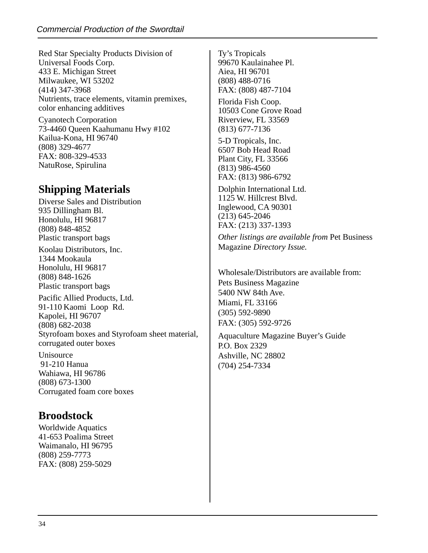Red Star Specialty Products Division of Universal Foods Corp. 433 E. Michigan Street Milwaukee, WI 53202 (414) 347-3968 Nutrients, trace elements, vitamin premixes, color enhancing additives

Cyanotech Corporation 73-4460 Queen Kaahumanu Hwy #102 Kailua-Kona, HI 96740 (808) 329-4677 FAX: 808-329-4533 NatuRose, Spirulina

### **Shipping Materials**

Diverse Sales and Distribution 935 Dillingham Bl. Honolulu, HI 96817 (808) 848-4852 Plastic transport bags

Koolau Distributors, Inc. 1344 Mookaula Honolulu, HI 96817 (808) 848-1626 Plastic transport bags

Pacific Allied Products, Ltd. 91-110 Kaomi Loop Rd. Kapolei, HI 96707 (808) 682-2038 Styrofoam boxes and Styrofoam sheet material, corrugated outer boxes

Unisource 91-210 Hanua Wahiawa, HI 96786 (808) 673-1300 Corrugated foam core boxes

### **Broodstock**

Worldwide Aquatics 41-653 Poalima Street Waimanalo, HI 96795 (808) 259-7773 FAX: (808) 259-5029

Ty's Tropicals 99670 Kaulainahee Pl. Aiea, HI 96701 (808) 488-0716 FAX: (808) 487-7104

Florida Fish Coop. 10503 Cone Grove Road Riverview, FL 33569 (813) 677-7136

5-D Tropicals, Inc. 6507 Bob Head Road Plant City, FL 33566 (813) 986-4560 FAX: (813) 986-6792

Dolphin International Ltd. 1125 W. Hillcrest Blvd. Inglewood, CA 90301 (213) 645-2046 FAX: (213) 337-1393

*Other listings are available from* Pet Business Magazine *Directory Issue.*

Wholesale/Distributors are available from: Pets Business Magazine 5400 NW 84th Ave. Miami, FL 33166 (305) 592-9890 FAX: (305) 592-9726

Aquaculture Magazine Buyer's Guide P.O. Box 2329 Ashville, NC 28802 (704) 254-7334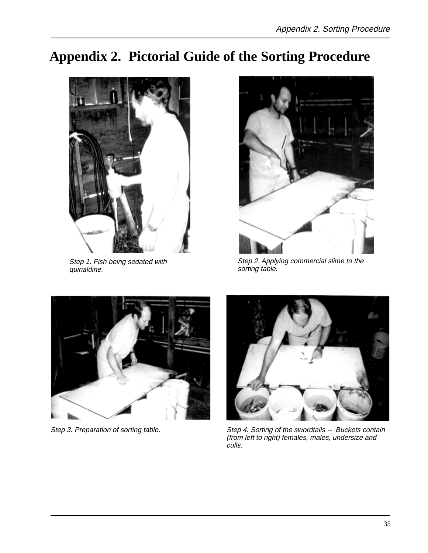# **Appendix 2. Pictorial Guide of the Sorting Procedure**



Step 1. Fish being sedated with quinaldine.



Step 2. Applying commercial slime to the sorting table.





Step 3. Preparation of sorting table. Step 4. Sorting of the swordtails -- Buckets contain (from left to right) females, males, undersize and culls.